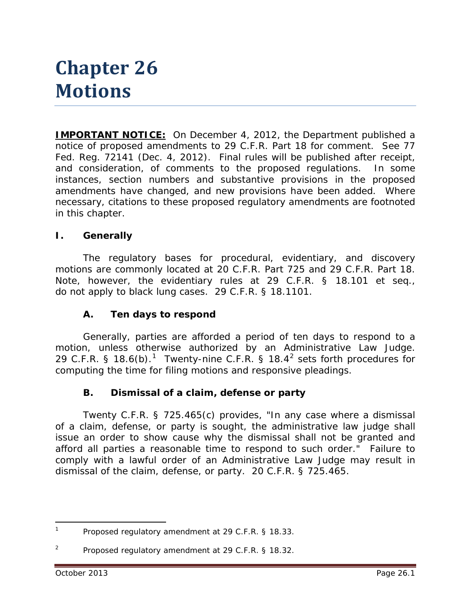# **Chapter 26 Motions**

**IMPORTANT NOTICE:** On December 4, 2012, the Department published a notice of proposed amendments to 29 C.F.R. Part 18 for comment. *See* 77 Fed. Reg. 72141 (Dec. 4, 2012). Final rules will be published after receipt, and consideration, of comments to the proposed regulations. In some instances, section numbers and substantive provisions in the proposed amendments have changed, and new provisions have been added. Where necessary, citations to these proposed regulatory amendments are footnoted in this chapter.

#### **I. Generally**

The regulatory bases for procedural, evidentiary, and discovery motions are commonly located at 20 C.F.R. Part 725 and 29 C.F.R. Part 18. Note, however, the evidentiary rules at 29 C.F.R. § 18.101 *et seq.,* do not apply to black lung cases. 29 C.F.R. § 18.1101.

#### **A. Ten days to respond**

Generally, parties are afforded a period of ten days to respond to a motion, unless otherwise authorized by an Administrative Law Judge. 29 C.F.R. § [1](#page-0-0)8.6(b).<sup>1</sup> Twenty-nine C.F.R. § 18.4<sup>[2](#page-0-1)</sup> sets forth procedures for computing the time for filing motions and responsive pleadings.

#### **B. Dismissal of a claim, defense or party**

Twenty C.F.R. § 725.465(c) provides, "In any case where a dismissal of a claim, defense, or party is sought, the administrative law judge shall issue an order to show cause why the dismissal shall not be granted and afford all parties a reasonable time to respond to such order." Failure to comply with a lawful order of an Administrative Law Judge may result in dismissal of the claim, defense, or party. 20 C.F.R. § 725.465.

 $\overline{a}$ 

<span id="page-0-0"></span>Proposed regulatory amendment at 29 C.F.R. § 18.33.

<span id="page-0-1"></span><sup>2</sup> Proposed regulatory amendment at 29 C.F.R. § 18.32.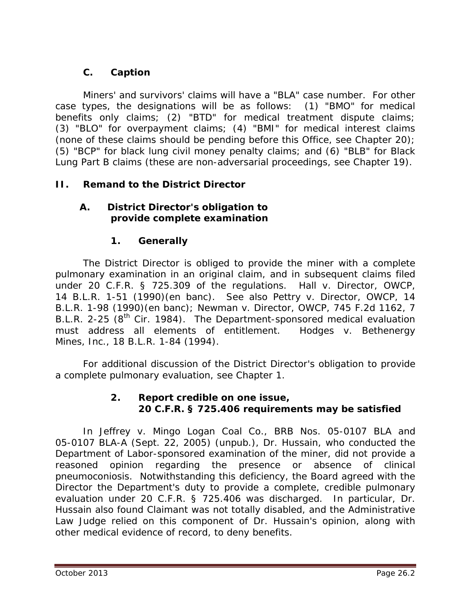# **C. Caption**

Miners' and survivors' claims will have a "BLA" case number. For other case types, the designations will be as follows: (1) "BMO" for medical benefits only claims; (2) "BTD" for medical treatment dispute claims; (3) "BLO" for overpayment claims; (4) "BMI" for medical interest claims (none of these claims should be pending before this Office, *see* Chapter 20); (5) "BCP" for black lung civil money penalty claims; and (6) "BLB" for Black Lung Part B claims (these are non-adversarial proceedings, *see* Chapter 19).

## **II. Remand to the District Director**

## **A. District Director's obligation to provide complete examination**

## **1. Generally**

The District Director is obliged to provide the miner with a complete pulmonary examination in an original claim, and in subsequent claims filed under 20 C.F.R. § 725.309 of the regulations. *Hall v. Director, OWCP*, 14 B.L.R. 1-51 (1990)(en banc). *See also Pettry v. Director, OWCP*, 14 B.L.R. 1-98 (1990)(en banc); *Newman v. Director, OWCP*, 745 F.2d 1162, 7 B.L.R. 2-25 (8<sup>th</sup> Cir. 1984). The Department-sponsored medical evaluation must address all elements of entitlement. *Hodges v. Bethenergy Mines, Inc.*, 18 B.L.R. 1-84 (1994).

For additional discussion of the District Director's obligation to provide a complete pulmonary evaluation, *see* Chapter 1.

## **2. Report credible on one issue, 20 C.F.R. § 725.406 requirements** *may* **be satisfied**

In *Jeffrey v. Mingo Logan Coal Co.*, BRB Nos. 05-0107 BLA and 05-0107 BLA-A (Sept. 22, 2005) (unpub.), Dr. Hussain, who conducted the Department of Labor-sponsored examination of the miner, did not provide a reasoned opinion regarding the presence or absence of clinical pneumoconiosis. Notwithstanding this deficiency, the Board agreed with the Director the Department's duty to provide a complete, credible pulmonary evaluation under 20 C.F.R. § 725.406 was discharged. In particular, Dr. Hussain also found Claimant was not totally disabled, and the Administrative Law Judge relied on this component of Dr. Hussain's opinion, along with other medical evidence of record, to deny benefits.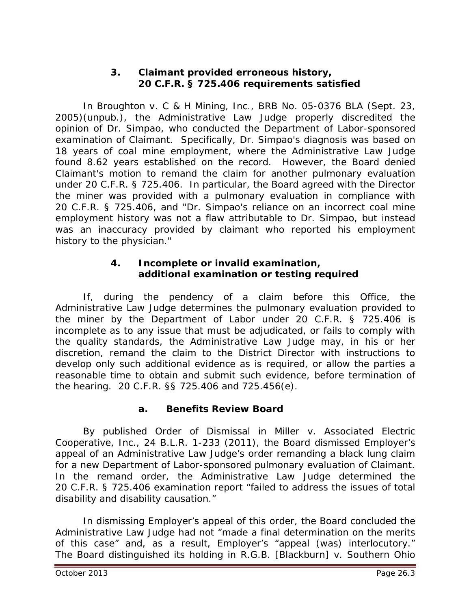#### **3. Claimant provided erroneous history, 20 C.F.R. § 725.406 requirements satisfied**

In *Broughton v. C & H Mining, Inc.*, BRB No. 05-0376 BLA (Sept. 23, 2005)(unpub.), the Administrative Law Judge properly discredited the opinion of Dr. Simpao, who conducted the Department of Labor-sponsored examination of Claimant. Specifically, Dr. Simpao's diagnosis was based on 18 years of coal mine employment, where the Administrative Law Judge found 8.62 years established on the record. However, the Board denied Claimant's motion to remand the claim for another pulmonary evaluation under 20 C.F.R. § 725.406. In particular, the Board agreed with the Director the miner was provided with a pulmonary evaluation in compliance with 20 C.F.R. § 725.406, and "Dr. Simpao's reliance on an incorrect coal mine employment history was not a flaw attributable to Dr. Simpao, but instead was an inaccuracy provided by claimant who reported his employment history to the physician."

## **4. Incomplete or invalid examination, additional examination or testing required**

If, during the pendency of a claim before this Office, the Administrative Law Judge determines the pulmonary evaluation provided to the miner by the Department of Labor under 20 C.F.R. § 725.406 is incomplete as to any issue that must be adjudicated, or fails to comply with the quality standards, the Administrative Law Judge may, in his or her discretion, remand the claim to the District Director with instructions to develop only such additional evidence as is required, or allow the parties a reasonable time to obtain and submit such evidence, before termination of the hearing. 20 C.F.R. §§ 725.406 and 725.456(e).

## **a. Benefits Review Board**

By published *Order of Dismissal* in *Miller v. Associated Electric Cooperative, Inc.*, 24 B.L.R. 1-233 (2011), the Board dismissed Employer's appeal of an Administrative Law Judge's order remanding a black lung claim for a new Department of Labor-sponsored pulmonary evaluation of Claimant. In the remand order, the Administrative Law Judge determined the 20 C.F.R. § 725.406 examination report "failed to address the issues of total disability and disability causation."

In dismissing Employer's appeal of this order, the Board concluded the Administrative Law Judge had not "made a final determination on the merits of this case" and, as a result, Employer's "appeal (was) interlocutory." The Board distinguished its holding in *R.G.B. [Blackburn] v. Southern Ohio*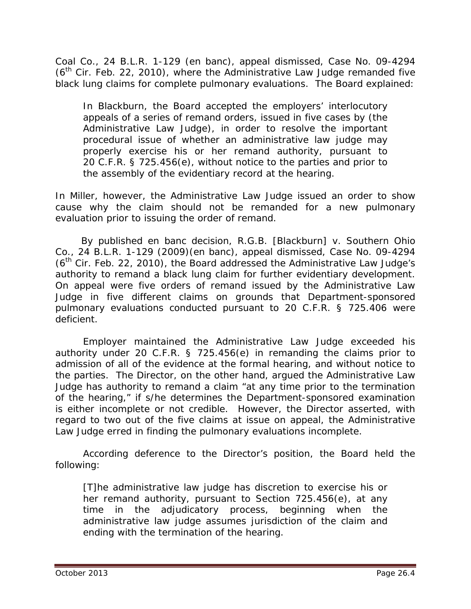*Coal Co.*, 24 B.L.R. 1-129 (en banc), *appeal dismissed*, Case No. 09-4294  $(6<sup>th</sup>$  Cir. Feb. 22, 2010), where the Administrative Law Judge remanded five black lung claims for complete pulmonary evaluations. The Board explained:

In *Blackburn*, the Board accepted the employers' interlocutory appeals of a series of remand orders, issued in five cases by (the Administrative Law Judge), in order to resolve the important procedural issue of whether an administrative law judge may properly exercise his or her remand authority, pursuant to 20 C.F.R. § 725.456(e), without notice to the parties and prior to the assembly of the evidentiary record at the hearing.

In *Miller*, however, the Administrative Law Judge issued an order to show cause why the claim should not be remanded for a new pulmonary evaluation prior to issuing the order of remand.

 By published *en banc* decision, *R.G.B. [Blackburn] v. Southern Ohio Co.*, 24 B.L.R. 1-129 (2009)(en banc), *appeal dismissed*, Case No. 09-4294  $(6<sup>th</sup>$  Cir. Feb. 22, 2010), the Board addressed the Administrative Law Judge's authority to remand a black lung claim for further evidentiary development. On appeal were five orders of remand issued by the Administrative Law Judge in five different claims on grounds that Department-sponsored pulmonary evaluations conducted pursuant to 20 C.F.R. § 725.406 were deficient.

Employer maintained the Administrative Law Judge exceeded his authority under 20 C.F.R. § 725.456(e) in remanding the claims prior to admission of all of the evidence at the formal hearing, and without notice to the parties. The Director, on the other hand, argued the Administrative Law Judge has authority to remand a claim "at any time prior to the termination of the hearing," if s/he determines the Department-sponsored examination is either incomplete or not credible. However, the Director asserted, with regard to two out of the five claims at issue on appeal, the Administrative Law Judge erred in finding the pulmonary evaluations incomplete.

According deference to the Director's position, the Board held the following:

[T]he administrative law judge has discretion to exercise his or her remand authority, pursuant to Section 725.456(e), at any time in the adjudicatory process, beginning when the administrative law judge assumes jurisdiction of the claim and ending with the termination of the hearing.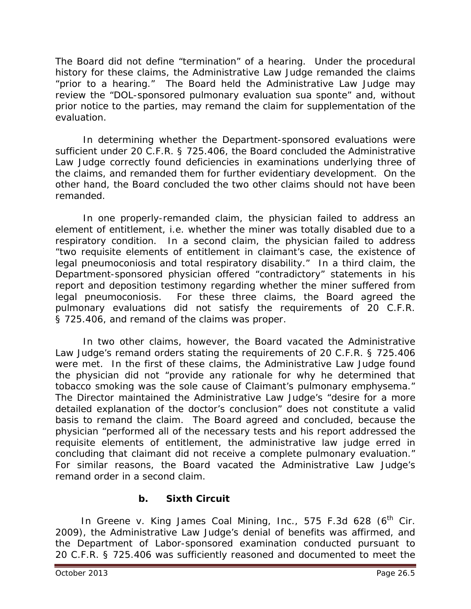The Board did not define "termination" of a hearing. Under the procedural history for these claims, the Administrative Law Judge remanded the claims "prior to a hearing." The Board held the Administrative Law Judge may review the "DOL-sponsored pulmonary evaluation *sua sponte*" and, without prior notice to the parties, may remand the claim for supplementation of the evaluation.

In determining whether the Department-sponsored evaluations were sufficient under 20 C.F.R. § 725.406, the Board concluded the Administrative Law Judge correctly found deficiencies in examinations underlying three of the claims, and remanded them for further evidentiary development. On the other hand, the Board concluded the two other claims should not have been remanded.

In one properly-remanded claim, the physician failed to address an element of entitlement, *i.e.* whether the miner was totally disabled due to a respiratory condition. In a second claim, the physician failed to address "two requisite elements of entitlement in claimant's case, the existence of legal pneumoconiosis and total respiratory disability." In a third claim, the Department-sponsored physician offered "contradictory" statements in his report and deposition testimony regarding whether the miner suffered from legal pneumoconiosis. For these three claims, the Board agreed the pulmonary evaluations did not satisfy the requirements of 20 C.F.R. § 725.406, and remand of the claims was proper.

In two other claims, however, the Board vacated the Administrative Law Judge's remand orders stating the requirements of 20 C.F.R. § 725.406 were met. In the first of these claims, the Administrative Law Judge found the physician did not "provide any rationale for why he determined that tobacco smoking was the sole cause of Claimant's pulmonary emphysema." The Director maintained the Administrative Law Judge's "desire for a more detailed explanation of the doctor's conclusion" does not constitute a valid basis to remand the claim. The Board agreed and concluded, because the physician "performed all of the necessary tests and his report addressed the requisite elements of entitlement, the administrative law judge erred in concluding that claimant did not receive a complete pulmonary evaluation." For similar reasons, the Board vacated the Administrative Law Judge's remand order in a second claim.

## **b. Sixth Circuit**

In *Greene v. King James Coal Mining, Inc.*, 575 F.3d 628 (6<sup>th</sup> Cir. 2009), the Administrative Law Judge's denial of benefits was affirmed, and the Department of Labor-sponsored examination conducted pursuant to 20 C.F.R. § 725.406 was sufficiently reasoned and documented to meet the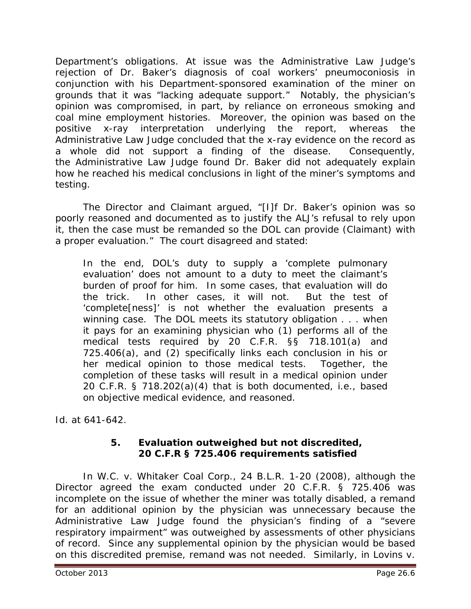Department's obligations. At issue was the Administrative Law Judge's rejection of Dr. Baker's diagnosis of coal workers' pneumoconiosis in conjunction with his Department-sponsored examination of the miner on grounds that it was "lacking adequate support." Notably, the physician's opinion was compromised, in part, by reliance on erroneous smoking and coal mine employment histories. Moreover, the opinion was based on the positive x-ray interpretation underlying the report, whereas the Administrative Law Judge concluded that the x-ray evidence on the record as a whole did not support a finding of the disease. Consequently, the Administrative Law Judge found Dr. Baker did not adequately explain how he reached his medical conclusions in light of the miner's symptoms and testing.

The Director and Claimant argued, "[I]f Dr. Baker's opinion was so poorly reasoned and documented as to justify the ALJ's refusal to rely upon it, then the case must be remanded so the DOL can provide (Claimant) with a proper evaluation." The court disagreed and stated:

In the end, DOL's duty to supply a 'complete pulmonary evaluation' does not amount to a duty to meet the claimant's burden of proof for him. In some cases, that evaluation will do the trick. In other cases, it will not. But the test of 'complete[ness]' is not whether the evaluation presents a winning case. The DOL meets its statutory obligation . . . when it pays for an examining physician who (1) performs all of the medical tests required by 20 C.F.R. §§ 718.101(a) and 725.406(a), and (2) specifically links each conclusion in his or her medical opinion to those medical tests. Together, the completion of these tasks will result in a medical opinion under 20 C.F.R. § 718.202(a)(4) that is both documented, *i.e.*, based on objective medical evidence, and reasoned.

*Id.* at 641-642.

## **5. Evaluation outweighed but not discredited, 20 C.F.R § 725.406 requirements satisfied**

In *W.C. v. Whitaker Coal Corp.,* 24 B.L.R. 1-20 (2008), although the Director agreed the exam conducted under 20 C.F.R. § 725.406 was incomplete on the issue of whether the miner was totally disabled, a remand for an additional opinion by the physician was unnecessary because the Administrative Law Judge found the physician's finding of a "severe respiratory impairment" was outweighed by assessments of other physicians of record. Since any supplemental opinion by the physician would be based on this discredited premise, remand was not needed. Similarly, in *Lovins v.*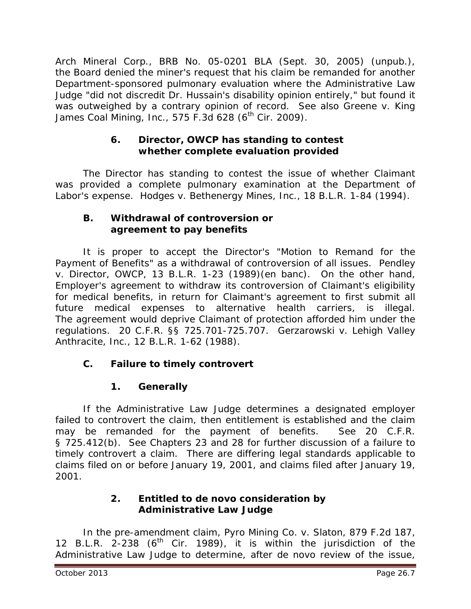*Arch Mineral Corp.*, BRB No. 05-0201 BLA (Sept. 30, 2005) (unpub.), the Board denied the miner's request that his claim be remanded for another Department-sponsored pulmonary evaluation where the Administrative Law Judge "did not discredit Dr. Hussain's disability opinion entirely," but found it was outweighed by a contrary opinion of record. *See also Greene v. King*  James Coal Mining, Inc., 575 F.3d 628 (6<sup>th</sup> Cir. 2009).

## **6. Director, OWCP has standing to contest whether complete evaluation provided**

The Director has standing to contest the issue of whether Claimant was provided a complete pulmonary examination at the Department of Labor's expense. *Hodges v. Bethenergy Mines, Inc.*, 18 B.L.R. 1-84 (1994).

## **B. Withdrawal of controversion or agreement to pay benefits**

It is proper to accept the Director's "Motion to Remand for the Payment of Benefits" as a withdrawal of controversion of all issues. *Pendley v. Director, OWCP*, 13 B.L.R. 1-23 (1989)(en banc). On the other hand, Employer's agreement to withdraw its controversion of Claimant's eligibility for medical benefits, in return for Claimant's agreement to first submit all future medical expenses to alternative health carriers, is illegal. The agreement would deprive Claimant of protection afforded him under the regulations. 20 C.F.R. §§ 725.701-725.707. *Gerzarowski v. Lehigh Valley Anthracite, Inc.*, 12 B.L.R. 1-62 (1988).

# **C. Failure to timely controvert**

# **1. Generally**

If the Administrative Law Judge determines a designated employer failed to controvert the claim, then entitlement is established and the claim may be remanded for the payment of benefits. *See* 20 C.F.R. § 725.412(b). *See* Chapters 23 and 28 for further discussion of a failure to timely controvert a claim. There are differing legal standards applicable to claims filed on or before January 19, 2001, and claims filed after January 19, 2001.

# **2. Entitled to** *de novo* **consideration by Administrative Law Judge**

In the pre-amendment claim, *Pyro Mining Co. v. Slaton*, 879 F.2d 187, 12 B.L.R. 2-238  $(6<sup>th</sup>$  Cir. 1989), it is within the jurisdiction of the Administrative Law Judge to determine, after *de novo* review of the issue,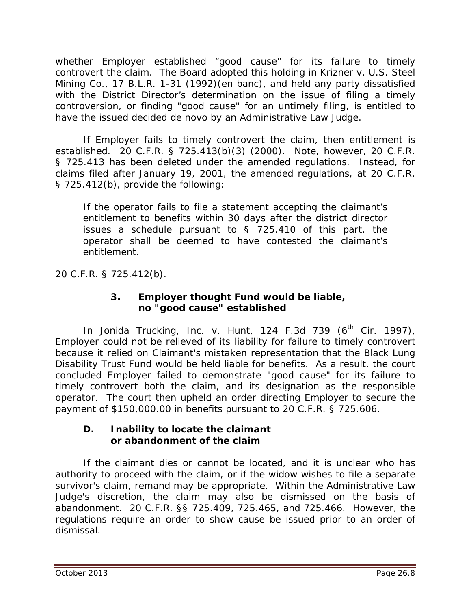whether Employer established "good cause" for its failure to timely controvert the claim. The Board adopted this holding in *Krizner v. U.S. Steel Mining Co.*, 17 B.L.R. 1-31 (1992)(en banc), and held any party dissatisfied with the District Director's determination on the issue of filing a timely controversion, or finding "good cause" for an untimely filing, is entitled to have the issued decided *de novo* by an Administrative Law Judge.

If Employer fails to timely controvert the claim, then entitlement is established. 20 C.F.R. § 725.413(b)(3) (2000). Note, however, 20 C.F.R. § 725.413 has been deleted under the amended regulations. Instead, for claims filed after January 19, 2001, the amended regulations, at 20 C.F.R. § 725.412(b), provide the following:

If the operator fails to file a statement accepting the claimant's entitlement to benefits within 30 days after the district director issues a schedule pursuant to § 725.410 of this part, the operator shall be deemed to have contested the claimant's entitlement.

20 C.F.R. § 725.412(b).

## **3. Employer thought Fund would be liable, no "good cause" established**

In *Jonida Trucking, Inc. v. Hunt*, 124 F.3d 739 (6<sup>th</sup> Cir. 1997), Employer could not be relieved of its liability for failure to timely controvert because it relied on Claimant's mistaken representation that the Black Lung Disability Trust Fund would be held liable for benefits. As a result, the court concluded Employer failed to demonstrate "good cause" for its failure to timely controvert both the claim, and its designation as the responsible operator. The court then upheld an order directing Employer to secure the payment of \$150,000.00 in benefits pursuant to 20 C.F.R. § 725.606.

## **D. Inability to locate the claimant or abandonment of the claim**

If the claimant dies or cannot be located, and it is unclear who has authority to proceed with the claim, or if the widow wishes to file a separate survivor's claim, remand may be appropriate. Within the Administrative Law Judge's discretion, the claim may also be dismissed on the basis of abandonment. 20 C.F.R. §§ 725.409, 725.465, and 725.466. However, the regulations require an order to show cause be issued prior to an order of dismissal.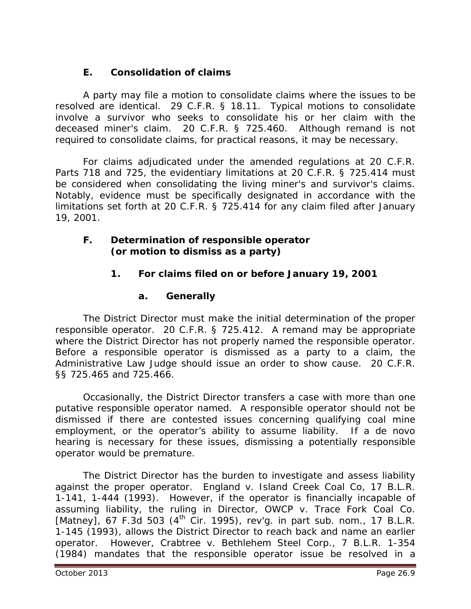# **E. Consolidation of claims**

A party may file a motion to consolidate claims where the issues to be resolved are identical. 29 C.F.R. § 18.11. Typical motions to consolidate involve a survivor who seeks to consolidate his or her claim with the deceased miner's claim. 20 C.F.R. § 725.460. Although remand is not required to consolidate claims, for practical reasons, it may be necessary.

For claims adjudicated under the amended regulations at 20 C.F.R. Parts 718 and 725, the evidentiary limitations at 20 C.F.R. § 725.414 must be considered when consolidating the living miner's and survivor's claims. Notably, evidence must be specifically designated in accordance with the limitations set forth at 20 C.F.R. § 725.414 for any claim filed after January 19, 2001.

## **F. Determination of responsible operator (or motion to dismiss as a party)**

# **1. For claims filed on or before January 19, 2001**

## **a. Generally**

The District Director must make the initial determination of the proper responsible operator. 20 C.F.R. § 725.412. A remand may be appropriate where the District Director has not properly named the responsible operator. Before a responsible operator is dismissed as a party to a claim, the Administrative Law Judge should issue an order to show cause. 20 C.F.R. §§ 725.465 and 725.466.

Occasionally, the District Director transfers a case with more than one putative responsible operator named. A responsible operator should not be dismissed if there are contested issues concerning qualifying coal mine employment, or the operator's ability to assume liability. If a *de novo* hearing is necessary for these issues, dismissing a potentially responsible operator would be premature.

The District Director has the burden to investigate and assess liability against the proper operator. *England v. Island Creek Coal Co*, 17 B.L.R. 1-141, 1-444 (1993)*.* However, if the operator is financially incapable of assuming liability, the ruling in *Director, OWCP v. Trace Fork Coal Co. [Matney]*, 67 F.3d 503 (4th Cir. 1995), *rev'g. in part sub. nom.*, 17 B.L.R. 1-145 (1993), allows the District Director to reach back and name an earlier operator. However, *Crabtree v. Bethlehem Steel Corp.*, 7 B.L.R. 1-354 (1984) mandates that the responsible operator issue be resolved in a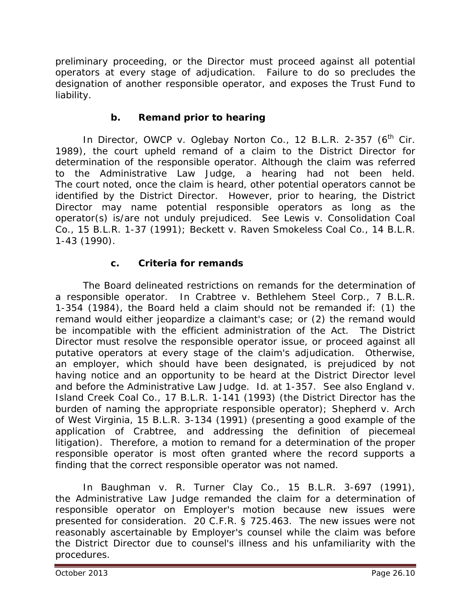preliminary proceeding, or the Director must proceed against all potential operators at every stage of adjudication. Failure to do so precludes the designation of another responsible operator, and exposes the Trust Fund to liability.

# **b. Remand prior to hearing**

In *Director, OWCP v. Oglebay Norton Co.*, 12 B.L.R. 2-357 (6<sup>th</sup> Cir. 1989), the court upheld remand of a claim to the District Director for determination of the responsible operator. Although the claim was referred to the Administrative Law Judge, a hearing had not been held. The court noted, once the claim is heard, other potential operators cannot be identified by the District Director. However, prior to hearing, the District Director may name potential responsible operators as long as the operator(s) is/are not unduly prejudiced. *See Lewis v. Consolidation Coal Co.*, 15 B.L.R. 1-37 (1991); *Beckett v. Raven Smokeless Coal Co.*, 14 B.L.R. 1-43 (1990).

# **c. Criteria for remands**

The Board delineated restrictions on remands for the determination of a responsible operator. In *Crabtree v. Bethlehem Steel Corp.*, 7 B.L.R. 1-354 (1984), the Board held a claim should not be remanded if: (1) the remand would either jeopardize a claimant's case; or (2) the remand would be incompatible with the efficient administration of the Act. The District Director must resolve the responsible operator issue, or proceed against all putative operators at every stage of the claim's adjudication. Otherwise, an employer, which should have been designated, is prejudiced by not having notice and an opportunity to be heard at the District Director level and before the Administrative Law Judge. *Id.* at 1-357. *See also England v. Island Creek Coal Co.*, 17 B.L.R. 1-141 (1993) (the District Director has the burden of naming the appropriate responsible operator); *Shepherd v. Arch of West Virginia*, 15 B.L.R. 3-134 (1991) (presenting a good example of the application of *Crabtree*, and addressing the definition of piecemeal litigation). Therefore, a motion to remand for a determination of the proper responsible operator is most often granted where the record supports a finding that the correct responsible operator was not named.

In *Baughman v. R. Turner Clay Co.*, 15 B.L.R. 3-697 (1991), the Administrative Law Judge remanded the claim for a determination of responsible operator on Employer's motion because new issues were presented for consideration. 20 C.F.R. § 725.463. The new issues were not reasonably ascertainable by Employer's counsel while the claim was before the District Director due to counsel's illness and his unfamiliarity with the procedures.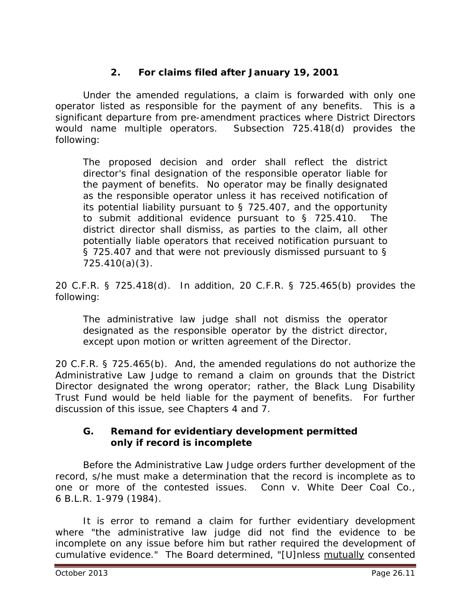# **2. For claims filed after January 19, 2001**

Under the amended regulations, a claim is forwarded with only one operator listed as responsible for the payment of any benefits. This is a significant departure from pre-amendment practices where District Directors would name multiple operators. Subsection 725.418(d) provides the following:

The proposed decision and order shall reflect the district director's final designation of the responsible operator liable for the payment of benefits. No operator may be finally designated as the responsible operator unless it has received notification of its potential liability pursuant to § 725.407, and the opportunity to submit additional evidence pursuant to § 725.410. The district director shall dismiss, as parties to the claim, all other potentially liable operators that received notification pursuant to § 725.407 and that were not previously dismissed pursuant to § 725.410(a)(3).

20 C.F.R. § 725.418(d). In addition, 20 C.F.R. § 725.465(b) provides the following:

The administrative law judge shall not dismiss the operator designated as the responsible operator by the district director, except upon motion or written agreement of the Director.

20 C.F.R. § 725.465(b). And, the amended regulations do not authorize the Administrative Law Judge to remand a claim on grounds that the District Director designated the wrong operator; rather, the Black Lung Disability Trust Fund would be held liable for the payment of benefits. For further discussion of this issue, *see* Chapters 4 and 7.

## **G. Remand for evidentiary development permitted only if record is incomplete**

Before the Administrative Law Judge orders further development of the record, s/he must make a determination that the record is incomplete as to one or more of the contested issues. *Conn v. White Deer Coal Co.*, 6 B.L.R. 1-979 (1984).

It is error to remand a claim for further evidentiary development where "the administrative law judge did not find the evidence to be incomplete on any issue before him but rather required the development of cumulative evidence." The Board determined, "[U]nless mutually consented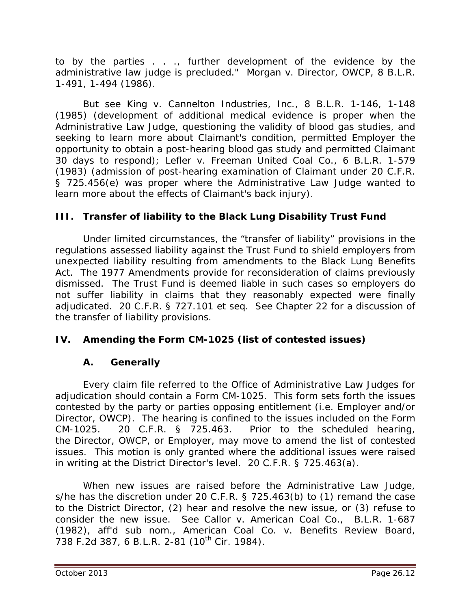to by the parties . . ., further development of the evidence by the administrative law judge is precluded." *Morgan v. Director, OWCP*, 8 B.L.R. 1-491, 1-494 (1986).

*But see King v. Cannelton Industries, Inc.*, 8 B.L.R. 1-146, 1-148 (1985) (development of additional medical evidence is proper when the Administrative Law Judge, questioning the validity of blood gas studies, and seeking to learn more about Claimant's condition, permitted Employer the opportunity to obtain a post-hearing blood gas study and permitted Claimant 30 days to respond); *Lefler v. Freeman United Coal Co.*, 6 B.L.R. 1-579 (1983) (admission of post-hearing examination of Claimant under 20 C.F.R. § 725.456(e) was proper where the Administrative Law Judge wanted to learn more about the effects of Claimant's back injury).

## **III. Transfer of liability to the Black Lung Disability Trust Fund**

Under limited circumstances, the "transfer of liability" provisions in the regulations assessed liability against the Trust Fund to shield employers from unexpected liability resulting from amendments to the Black Lung Benefits Act. The 1977 Amendments provide for reconsideration of claims previously dismissed. The Trust Fund is deemed liable in such cases so employers do not suffer liability in claims that they reasonably expected were finally adjudicated. 20 C.F.R. § 727.101 *et seq. See* Chapter 22 for a discussion of the transfer of liability provisions.

# **IV. Amending the Form CM-1025 (list of contested issues)**

## **A. Generally**

Every claim file referred to the Office of Administrative Law Judges for adjudication should contain a Form CM-1025. This form sets forth the issues contested by the party or parties opposing entitlement (*i.e.* Employer and/or Director, OWCP). The hearing is confined to the issues included on the Form CM-1025. 20 C.F.R. § 725.463. Prior to the scheduled hearing, the Director, OWCP, or Employer, may move to amend the list of contested issues. This motion is only granted where the additional issues were raised in writing at the District Director's level. 20 C.F.R. § 725.463(a).

When new issues are raised before the Administrative Law Judge, s/he has the discretion under 20 C.F.R. § 725.463(b) to (1) remand the case to the District Director, (2) hear and resolve the new issue, or (3) refuse to consider the new issue. *See Callor v. American Coal Co.*, B.L.R. 1-687 (1982), *aff'd sub nom., American Coal Co. v. Benefits Review Board,* 738 F.2d 387, 6 B.L.R. 2-81 (10<sup>th</sup> Cir. 1984).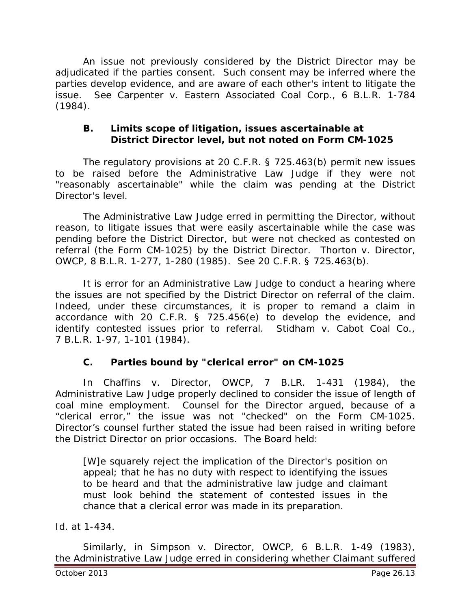An issue not previously considered by the District Director may be adjudicated if the parties consent. Such consent may be inferred where the parties develop evidence, and are aware of each other's intent to litigate the issue. *See Carpenter v. Eastern Associated Coal Corp.*, 6 B.L.R. 1-784 (1984).

#### **B. Limits scope of litigation, issues ascertainable at District Director level, but not noted on Form CM-1025**

The regulatory provisions at 20 C.F.R. § 725.463(b) permit new issues to be raised before the Administrative Law Judge if they were not "reasonably ascertainable" while the claim was pending at the District Director's level.

The Administrative Law Judge erred in permitting the Director, without reason, to litigate issues that were easily ascertainable while the case was pending before the District Director, but were not checked as contested on referral (the Form CM-1025) by the District Director. *Thorton v. Director, OWCP*, 8 B.L.R. 1-277, 1-280 (1985). *See* 20 C.F.R. § 725.463(b).

It is error for an Administrative Law Judge to conduct a hearing where the issues are not specified by the District Director on referral of the claim. Indeed, under these circumstances, it is proper to remand a claim in accordance with 20 C.F.R. § 725.456(e) to develop the evidence, and identify contested issues prior to referral. *Stidham v. Cabot Coal Co.*, 7 B.L.R. 1-97, 1-101 (1984).

## **C. Parties bound by "clerical error" on CM-1025**

In *Chaffins v. Director, OWCP*, 7 B.LR. 1-431 (1984), the Administrative Law Judge properly declined to consider the issue of length of coal mine employment. Counsel for the Director argued, because of a "clerical error," the issue was not "checked" on the Form CM-1025. Director's counsel further stated the issue had been raised in writing before the District Director on prior occasions. The Board held:

[W]e squarely reject the implication of the Director's position on appeal; that he has no duty with respect to identifying the issues to be heard and that the administrative law judge and claimant must look behind the statement of contested issues in the chance that a clerical error was made in its preparation.

*Id.* at 1-434.

Similarly, in *Simpson v. Director, OWCP*, 6 B.L.R. 1-49 (1983), the Administrative Law Judge erred in considering whether Claimant suffered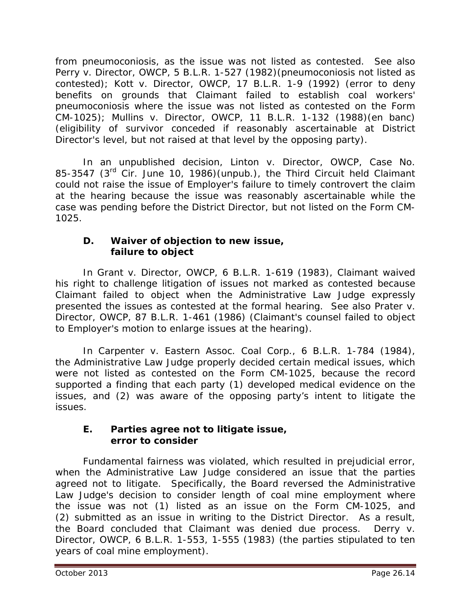from pneumoconiosis, as the issue was not listed as contested. *See also Perry v. Director, OWCP*, 5 B.L.R. 1-527 (1982)(pneumoconiosis not listed as contested); *Kott v. Director, OWCP*, 17 B.L.R. 1-9 (1992) (error to deny benefits on grounds that Claimant failed to establish coal workers' pneumoconiosis where the issue was not listed as contested on the Form CM-1025); *Mullins v. Director, OWCP*, 11 B.L.R. 1-132 (1988)(en banc) (eligibility of survivor conceded if reasonably ascertainable at District Director's level, but not raised at that level by the opposing party).

In an unpublished decision, *Linton v. Director, OWCP*, Case No. 85-3547 (3rd Cir. June 10, 1986)(unpub.), the Third Circuit held Claimant could not raise the issue of Employer's failure to timely controvert the claim at the hearing because the issue was reasonably ascertainable while the case was pending before the District Director, but not listed on the Form CM-1025.

## **D. Waiver of objection to new issue, failure to object**

In *Grant v. Director, OWCP*, 6 B.L.R. 1-619 (1983), Claimant waived his right to challenge litigation of issues not marked as contested because Claimant failed to object when the Administrative Law Judge expressly presented the issues as contested at the formal hearing. *See also Prater v. Director, OWCP*, 87 B.L.R. 1-461 (1986) (Claimant's counsel failed to object to Employer's motion to enlarge issues at the hearing).

In *Carpenter v. Eastern Assoc. Coal Corp.*, 6 B.L.R. 1-784 (1984), the Administrative Law Judge properly decided certain medical issues, which were not listed as contested on the Form CM-1025, because the record supported a finding that each party (1) developed medical evidence on the issues, and (2) was aware of the opposing party's intent to litigate the issues.

## **E. Parties agree not to litigate issue, error to consider**

Fundamental fairness was violated, which resulted in prejudicial error, when the Administrative Law Judge considered an issue that the parties agreed not to litigate. Specifically, the Board reversed the Administrative Law Judge's decision to consider length of coal mine employment where the issue was not (1) listed as an issue on the Form CM-1025, and (2) submitted as an issue in writing to the District Director. As a result, the Board concluded that Claimant was denied due process. *Derry v. Director, OWCP*, 6 B.L.R. 1-553, 1-555 (1983) (the parties stipulated to ten years of coal mine employment).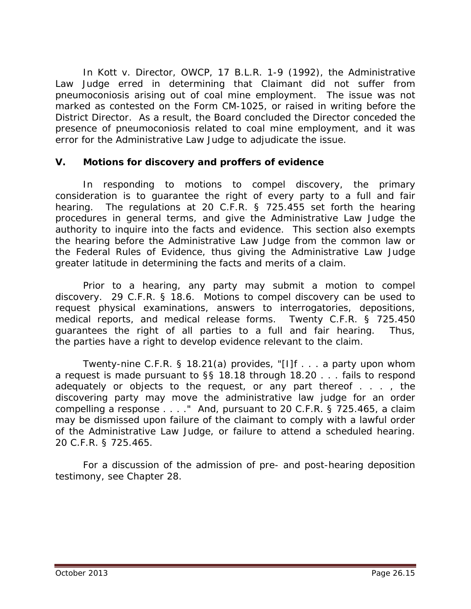In *Kott v. Director, OWCP*, 17 B.L.R. 1-9 (1992), the Administrative Law Judge erred in determining that Claimant did not suffer from pneumoconiosis arising out of coal mine employment. The issue was not marked as contested on the Form CM-1025, or raised in writing before the District Director. As a result, the Board concluded the Director conceded the presence of pneumoconiosis related to coal mine employment, and it was error for the Administrative Law Judge to adjudicate the issue.

## **V. Motions for discovery and proffers of evidence**

In responding to motions to compel discovery, the primary consideration is to guarantee the right of every party to a full and fair hearing. The regulations at 20 C.F.R. § 725.455 set forth the hearing procedures in general terms, and give the Administrative Law Judge the authority to inquire into the facts and evidence. This section also exempts the hearing before the Administrative Law Judge from the common law or the Federal Rules of Evidence, thus giving the Administrative Law Judge greater latitude in determining the facts and merits of a claim.

Prior to a hearing, any party may submit a motion to compel discovery. 29 C.F.R. § 18.6. Motions to compel discovery can be used to request physical examinations, answers to interrogatories, depositions, medical reports, and medical release forms. Twenty C.F.R. § 725.450 guarantees the right of all parties to a full and fair hearing. Thus, the parties have a right to develop evidence relevant to the claim.

Twenty-nine C.F.R. § 18.21(a) provides, "[I]f . . . a party upon whom a request is made pursuant to §§ 18.18 through 18.20 . . . fails to respond adequately or objects to the request, or any part thereof . . . , the discovering party may move the administrative law judge for an order compelling a response . . . ." And, pursuant to 20 C.F.R. § 725.465, a claim may be dismissed upon failure of the claimant to comply with a lawful order of the Administrative Law Judge, or failure to attend a scheduled hearing. 20 C.F.R. § 725.465.

For a discussion of the admission of pre- and post-hearing deposition testimony, *see* Chapter 28.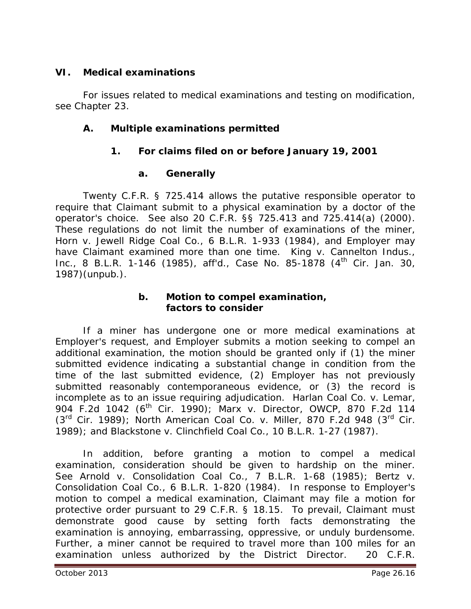## **VI. Medical examinations**

For issues related to medical examinations and testing on modification, *see* Chapter 23.

## **A. Multiple examinations permitted**

## **1. For claims filed on or before January 19, 2001**

## **a. Generally**

Twenty C.F.R. § 725.414 allows the putative responsible operator to require that Claimant submit to a physical examination by a doctor of the operator's choice. *See also* 20 C.F.R. §§ 725.413 and 725.414(a) (2000). These regulations do not limit the number of examinations of the miner, *Horn v. Jewell Ridge Coal Co.*, 6 B.L.R. 1-933 (1984), and Employer may have Claimant examined more than one time. *King v. Cannelton Indus., Inc.*, 8 B.L.R. 1-146 (1985), *aff'd.,* Case No. 85-1878 (4th Cir. Jan. 30, 1987)(unpub.).

#### **b. Motion to compel examination, factors to consider**

If a miner has undergone one or more medical examinations at Employer's request, and Employer submits a motion seeking to compel an additional examination, the motion should be granted only if (1) the miner submitted evidence indicating a substantial change in condition from the time of the last submitted evidence, (2) Employer has not previously submitted reasonably contemporaneous evidence, or (3) the record is incomplete as to an issue requiring adjudication. *Harlan Coal Co. v. Lemar*, 904 F.2d 1042 (6<sup>th</sup> Cir. 1990); *Marx v. Director, OWCP*, 870 F.2d 114 (3rd Cir. 1989); *North American Coal Co. v. Miller*, 870 F.2d 948 (3rd Cir. 1989); and *Blackstone v. Clinchfield Coal Co.*, 10 B.L.R. 1-27 (1987).

In addition, before granting a motion to compel a medical examination, consideration should be given to hardship on the miner. *See Arnold v. Consolidation Coal Co.*, 7 B.L.R. 1-68 (1985)*; Bertz v. Consolidation Coal Co.*, 6 B.L.R. 1-820 (1984). In response to Employer's motion to compel a medical examination, Claimant may file a motion for protective order pursuant to 29 C.F.R. § 18.15. To prevail, Claimant must demonstrate good cause by setting forth facts demonstrating the examination is annoying, embarrassing, oppressive, or unduly burdensome. Further, a miner cannot be required to travel more than 100 miles for an examination unless authorized by the District Director. 20 C.F.R.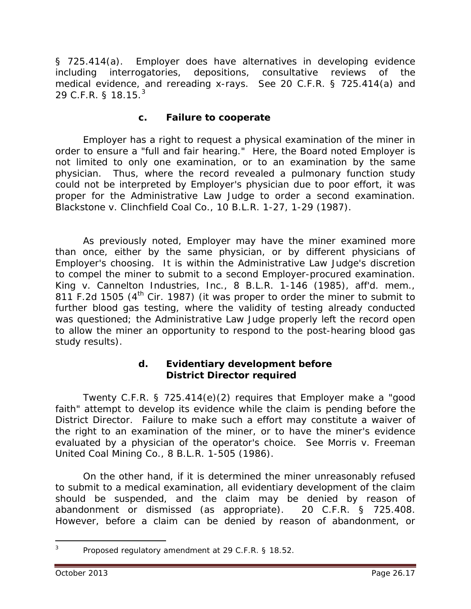§ 725.414(a). Employer does have alternatives in developing evidence including interrogatories, depositions, consultative reviews of the medical evidence, and rereading x-rays. *See* 20 C.F.R. § 725.414(a) and 29 C.F.R. § 18.15.<sup>[3](#page-16-0)</sup>

## **c. Failure to cooperate**

Employer has a right to request a physical examination of the miner in order to ensure a "full and fair hearing." Here, the Board noted Employer is not limited to only one examination, or to an examination by the same physician. Thus, where the record revealed a pulmonary function study could not be interpreted by Employer's physician due to poor effort, it was proper for the Administrative Law Judge to order a second examination. *Blackstone v. Clinchfield Coal Co.*, 10 B.L.R. 1-27, 1-29 (1987).

As previously noted, Employer may have the miner examined more than once, either by the same physician, or by different physicians of Employer's choosing. It is within the Administrative Law Judge's discretion to compel the miner to submit to a second Employer-procured examination. *King v. Cannelton Industries, Inc.*, 8 B.L.R. 1-146 (1985), *aff'd. mem.*, 811 F.2d 1505 ( $4<sup>th</sup>$  Cir. 1987) (it was proper to order the miner to submit to further blood gas testing, where the validity of testing already conducted was questioned; the Administrative Law Judge properly left the record open to allow the miner an opportunity to respond to the post-hearing blood gas study results).

#### **d. Evidentiary development before District Director required**

Twenty C.F.R. § 725.414(e)(2) requires that Employer make a "good faith" attempt to develop its evidence while the claim is pending before the District Director. Failure to make such a effort may constitute a waiver of the right to an examination of the miner, or to have the miner's evidence evaluated by a physician of the operator's choice. *See Morris v. Freeman United Coal Mining Co.*, 8 B.L.R. 1-505 (1986).

On the other hand, if it is determined the miner unreasonably refused to submit to a medical examination, all evidentiary development of the claim should be suspended, and the claim may be denied by reason of abandonment or dismissed (as appropriate). 20 C.F.R. § 725.408. However, before a claim can be denied by reason of abandonment, or

<span id="page-16-0"></span><sup>&</sup>lt;sup>3</sup> Proposed regulatory amendment at 29 C.F.R. § 18.52.  $\overline{a}$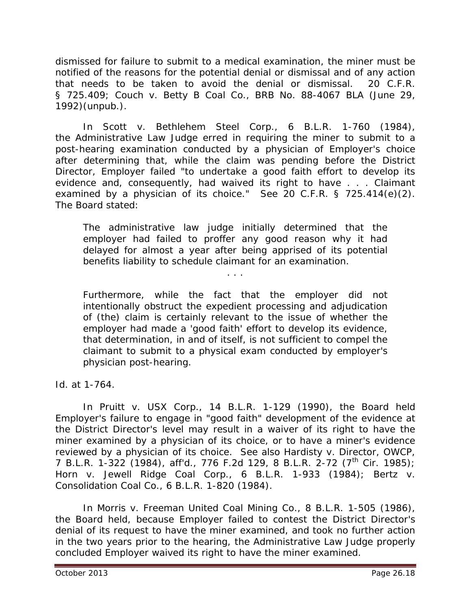dismissed for failure to submit to a medical examination, the miner must be notified of the reasons for the potential denial or dismissal and of any action that needs to be taken to avoid the denial or dismissal. 20 C.F.R. § 725.409; *Couch v. Betty B Coal Co*., BRB No. 88-4067 BLA (June 29, 1992)(unpub.).

In *Scott v. Bethlehem Steel Corp.*, 6 B.L.R. 1-760 (1984), the Administrative Law Judge erred in requiring the miner to submit to a post-hearing examination conducted by a physician of Employer's choice after determining that, while the claim was pending before the District Director, Employer failed "to undertake a good faith effort to develop its evidence and, consequently, had waived its right to have . . . Claimant examined by a physician of its choice." *See* 20 C.F.R. § 725.414(e)(2). The Board stated:

The administrative law judge initially determined that the employer had failed to proffer any good reason why it had delayed for almost a year after being apprised of its potential benefits liability to schedule claimant for an examination.

. . .

Furthermore, while the fact that the employer did not intentionally obstruct the expedient processing and adjudication of (the) claim is certainly relevant to the issue of whether the employer had made a 'good faith' effort to develop its evidence, that determination, in and of itself, is not sufficient to compel the claimant to submit to a physical exam conducted by employer's physician post-hearing.

*Id.* at 1-764.

In *Pruitt v. USX Corp.*, 14 B.L.R. 1-129 (1990), the Board held Employer's failure to engage in "good faith" development of the evidence at the District Director's level may result in a waiver of its right to have the miner examined by a physician of its choice, or to have a miner's evidence reviewed by a physician of its choice. *See also Hardisty v. Director, OWCP*, 7 B.L.R. 1-322 (1984), *aff'd.*, 776 F.2d 129, 8 B.L.R. 2-72 (7th Cir. 1985); *Horn v. Jewell Ridge Coal Corp.*, 6 B.L.R. 1-933 (1984); *Bertz v. Consolidation Coal Co.*, 6 B.L.R. 1-820 (1984).

In *Morris v. Freeman United Coal Mining Co.*, 8 B.L.R. 1-505 (1986), the Board held, because Employer failed to contest the District Director's denial of its request to have the miner examined, and took no further action in the two years prior to the hearing, the Administrative Law Judge properly concluded Employer waived its right to have the miner examined.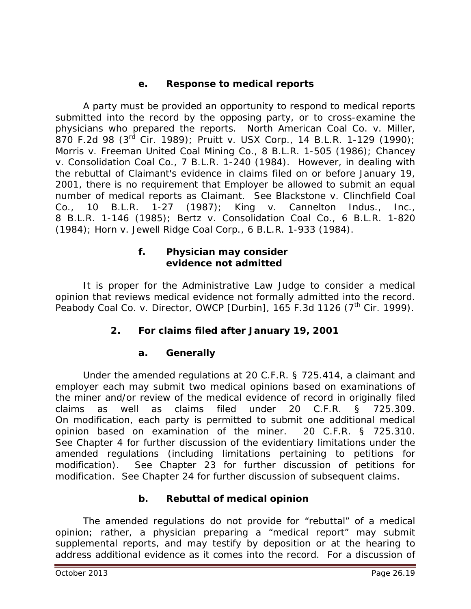## **e. Response to medical reports**

A party must be provided an opportunity to respond to medical reports submitted into the record by the opposing party, or to cross-examine the physicians who prepared the reports. *North American Coal Co. v. Miller*, 870 F.2d 98 (3rd Cir. 1989); *Pruitt v. USX Corp.*, 14 B.L.R. 1-129 (1990); *Morris v. Freeman United Coal Mining Co.*, 8 B.L.R. 1-505 (1986); *Chancey v. Consolidation Coal Co.*, 7 B.L.R. 1-240 (1984). However, in dealing with the rebuttal of Claimant's evidence in claims filed on or before January 19, 2001, there is no requirement that Employer be allowed to submit an equal number of medical reports as Claimant. *See Blackstone v. Clinchfield Coal Co.*, 10 B.L.R. 1-27 (1987); *King v. Cannelton Indus., Inc.*, 8 B.L.R. 1-146 (1985); *Bertz v. Consolidation Coal Co.*, 6 B.L.R. 1-820 (1984); *Horn v. Jewell Ridge Coal Corp.*, 6 B.L.R. 1-933 (1984).

#### **f. Physician may consider evidence not admitted**

It is proper for the Administrative Law Judge to consider a medical opinion that reviews medical evidence not formally admitted into the record. *Peabody Coal Co. v. Director, OWCP [Durbin]*, 165 F.3d 1126 (7<sup>th</sup> Cir. 1999).

## **2. For claims filed after January 19, 2001**

#### **a. Generally**

Under the amended regulations at 20 C.F.R. § 725.414, a claimant and employer each may submit two medical opinions based on examinations of the miner and/or review of the medical evidence of record in originally filed claims as well as claims filed under 20 C.F.R. § 725.309. On modification, each party is permitted to submit one additional medical opinion based on examination of the miner. 20 C.F.R. § 725.310. *See* Chapter 4 for further discussion of the evidentiary limitations under the amended regulations (including limitations pertaining to petitions for modification). *See* Chapter 23 for further discussion of petitions for modification. *See* Chapter 24 for further discussion of subsequent claims.

#### **b. Rebuttal of medical opinion**

The amended regulations do not provide for "rebuttal" of a medical opinion; rather, a physician preparing a "medical report" may submit supplemental reports, and may testify by deposition or at the hearing to address additional evidence as it comes into the record. For a discussion of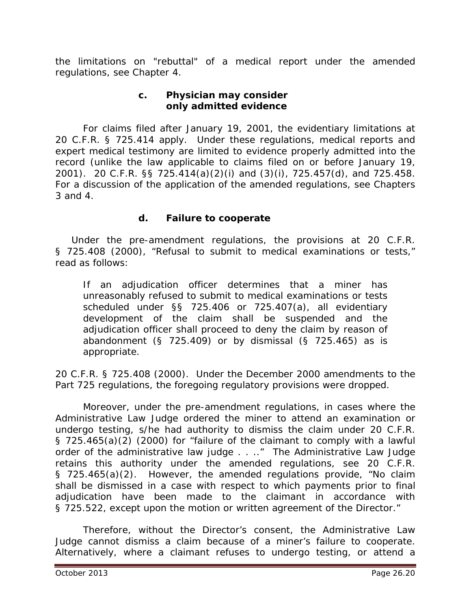the limitations on "rebuttal" of a medical report under the amended regulations, *see* Chapter 4.

## **c. Physician may consider only admitted evidence**

For claims filed after January 19, 2001, the evidentiary limitations at 20 C.F.R. § 725.414 apply. Under these regulations, medical reports and expert medical testimony are limited to evidence properly admitted into the record (unlike the law applicable to claims filed on or before January 19, 2001). 20 C.F.R. §§ 725.414(a)(2)(i) and (3)(i), 725.457(d), and 725.458. For a discussion of the application of the amended regulations, *see* Chapters 3 and 4.

## **d. Failure to cooperate**

 Under the pre-amendment regulations, the provisions at 20 C.F.R. § 725.408 (2000), "Refusal to submit to medical examinations or tests," read as follows:

If an adjudication officer determines that a miner has unreasonably refused to submit to medical examinations or tests scheduled under §§ 725.406 or 725.407(a), all evidentiary development of the claim shall be suspended and the adjudication officer shall proceed to deny the claim by reason of abandonment (§ 725.409) or by dismissal (§ 725.465) as is appropriate.

20 C.F.R. § 725.408 (2000). Under the December 2000 amendments to the Part 725 regulations, the foregoing regulatory provisions were dropped.

Moreover, under the pre-amendment regulations, in cases where the Administrative Law Judge ordered the miner to attend an examination or undergo testing, s/he had authority to dismiss the claim under 20 C.F.R. § 725.465(a)(2) (2000) for "failure of the claimant to comply with a lawful order of the administrative law judge . . .." The Administrative Law Judge retains this authority under the amended regulations, *see* 20 C.F.R. § 725.465(a)(2). However, the amended regulations provide, "No claim shall be dismissed in a case with respect to which payments prior to final adjudication have been made to the claimant in accordance with § 725.522, except upon the motion or written agreement of the Director."

Therefore, without the Director's consent, the Administrative Law Judge cannot dismiss a claim because of a miner's failure to cooperate. Alternatively, where a claimant refuses to undergo testing, or attend a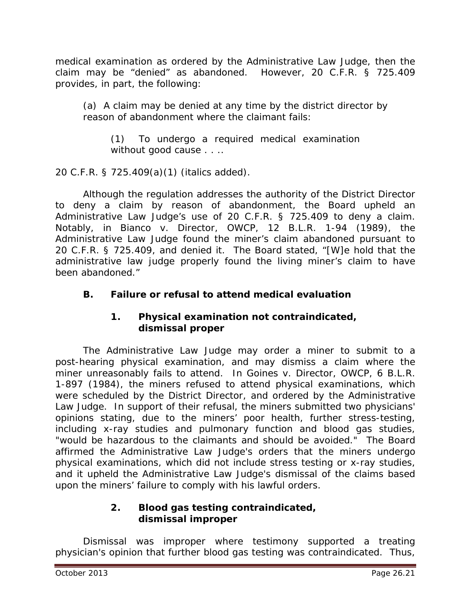medical examination as ordered by the Administrative Law Judge, then the claim may be "denied" as abandoned. However, 20 C.F.R. § 725.409 provides, in part, the following:

(a) A claim may be denied at any time *by the district director* by reason of abandonment where the claimant fails:

(1) To undergo a required medical examination without good cause . . . .

20 C.F.R. § 725.409(a)(1) (italics added).

Although the regulation addresses the authority of the District Director to deny a claim by reason of abandonment, the Board upheld an Administrative Law Judge's use of 20 C.F.R. § 725.409 to deny a claim. Notably, in *Bianco v. Director, OWCP*, 12 B.L.R. 1-94 (1989), the Administrative Law Judge found the miner's claim abandoned pursuant to 20 C.F.R. § 725.409, and denied it. The Board stated, "[W]e hold that the administrative law judge properly found the living miner's claim to have been abandoned."

# **B. Failure or refusal to attend medical evaluation**

## **1. Physical examination not contraindicated, dismissal proper**

The Administrative Law Judge may order a miner to submit to a post-hearing physical examination, and may dismiss a claim where the miner unreasonably fails to attend. In *Goines v. Director, OWCP*, 6 B.L.R. 1-897 (1984), the miners refused to attend physical examinations, which were scheduled by the District Director, and ordered by the Administrative Law Judge. In support of their refusal, the miners submitted two physicians' opinions stating, due to the miners' poor health, further stress-testing, including x-ray studies and pulmonary function and blood gas studies, "would be hazardous to the claimants and should be avoided." The Board affirmed the Administrative Law Judge's orders that the miners undergo physical examinations, which did not include stress testing or x-ray studies, and it upheld the Administrative Law Judge's dismissal of the claims based upon the miners' failure to comply with his lawful orders.

## **2. Blood gas testing contraindicated, dismissal improper**

Dismissal was improper where testimony supported a treating physician's opinion that further blood gas testing was contraindicated. Thus,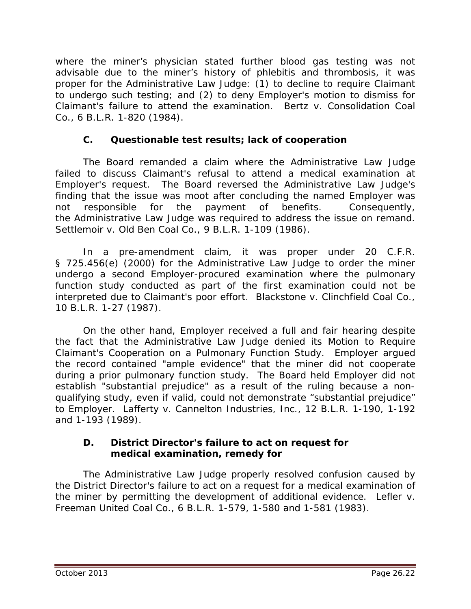where the miner's physician stated further blood gas testing was not advisable due to the miner's history of phlebitis and thrombosis, it was proper for the Administrative Law Judge: (1) to decline to require Claimant to undergo such testing; and (2) to deny Employer's motion to dismiss for Claimant's failure to attend the examination. *Bertz v. Consolidation Coal Co.*, 6 B.L.R. 1-820 (1984).

## **C. Questionable test results; lack of cooperation**

The Board remanded a claim where the Administrative Law Judge failed to discuss Claimant's refusal to attend a medical examination at Employer's request. The Board reversed the Administrative Law Judge's finding that the issue was moot after concluding the named Employer was not responsible for the payment of benefits. Consequently, the Administrative Law Judge was required to address the issue on remand. *Settlemoir v. Old Ben Coal Co.*, 9 B.L.R. 1-109 (1986).

In a pre-amendment claim, it was proper under 20 C.F.R. § 725.456(e) (2000) for the Administrative Law Judge to order the miner undergo a second Employer-procured examination where the pulmonary function study conducted as part of the first examination could not be interpreted due to Claimant's poor effort. *Blackstone v. Clinchfield Coal Co.*, 10 B.L.R. 1-27 (1987).

On the other hand, Employer received a full and fair hearing despite the fact that the Administrative Law Judge denied its Motion to Require Claimant's Cooperation on a Pulmonary Function Study. Employer argued the record contained "ample evidence" that the miner did not cooperate during a prior pulmonary function study. The Board held Employer did not establish "substantial prejudice" as a result of the ruling because a nonqualifying study, even if valid, could not demonstrate "substantial prejudice" to Employer. *Lafferty v. Cannelton Industries, Inc.*, 12 B.L.R. 1-190, 1-192 and 1-193 (1989).

## **D. District Director's failure to act on request for medical examination, remedy for**

The Administrative Law Judge properly resolved confusion caused by the District Director's failure to act on a request for a medical examination of the miner by permitting the development of additional evidence. *Lefler v. Freeman United Coal Co.*, 6 B.L.R. 1-579, 1-580 and 1-581 (1983).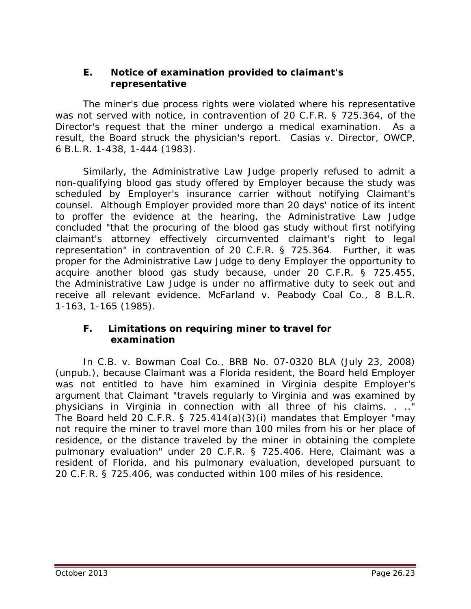## **E. Notice of examination provided to claimant's representative**

The miner's due process rights were violated where his representative was not served with notice, in contravention of 20 C.F.R. § 725.364, of the Director's request that the miner undergo a medical examination. As a result, the Board struck the physician's report. *Casias v. Director, OWCP*, 6 B.L.R. 1-438, 1-444 (1983).

Similarly, the Administrative Law Judge properly refused to admit a non-qualifying blood gas study offered by Employer because the study was scheduled by Employer's insurance carrier without notifying Claimant's counsel. Although Employer provided more than 20 days' notice of its intent to proffer the evidence at the hearing, the Administrative Law Judge concluded "that the procuring of the blood gas study without first notifying claimant's attorney effectively circumvented claimant's right to legal representation" in contravention of 20 C.F.R. § 725.364. Further, it was proper for the Administrative Law Judge to deny Employer the opportunity to acquire another blood gas study because, under 20 C.F.R. § 725.455, the Administrative Law Judge is under no affirmative duty to seek out and receive all relevant evidence. *McFarland v. Peabody Coal Co.*, 8 B.L.R. 1-163, 1-165 (1985).

#### **F. Limitations on requiring miner to travel for examination**

In *C.B. v. Bowman Coal Co.*, BRB No. 07-0320 BLA (July 23, 2008) (unpub.), because Claimant was a Florida resident, the Board held Employer was not entitled to have him examined in Virginia despite Employer's argument that Claimant "travels regularly to Virginia and was examined by physicians in Virginia in connection with all three of his claims. . .." The Board held 20 C.F.R. § 725.414(a)(3)(i) mandates that Employer "may not require the miner to travel more than 100 miles from his or her place of residence, or the distance traveled by the miner in obtaining the complete pulmonary evaluation" under 20 C.F.R. § 725.406. Here, Claimant was a resident of Florida, and his pulmonary evaluation, developed pursuant to 20 C.F.R. § 725.406, was conducted within 100 miles of his residence.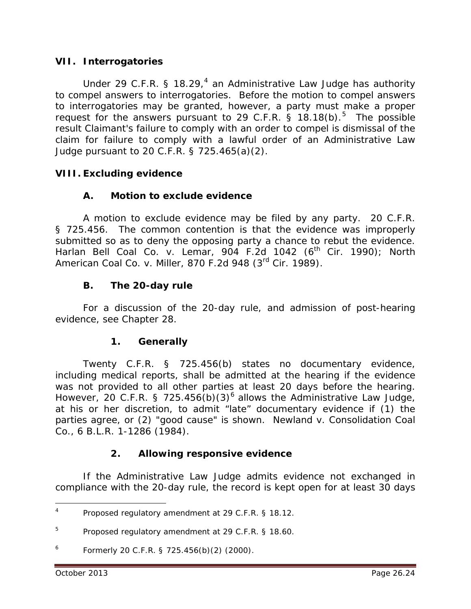#### **VII. Interrogatories**

Under 29 C.F.R. § 18.29, $4$  an Administrative Law Judge has authority to compel answers to interrogatories. Before the motion to compel answers to interrogatories may be granted, however, a party must make a proper request for the answers pursuant to 29 C.F.R. § 18.18(b). $5$  The possible result Claimant's failure to comply with an order to compel is dismissal of the claim for failure to comply with a lawful order of an Administrative Law Judge pursuant to 20 C.F.R. § 725.465(a)(2).

## **VIII. Excluding evidence**

## **A. Motion to exclude evidence**

A motion to exclude evidence may be filed by any party. 20 C.F.R. § 725.456. The common contention is that the evidence was improperly submitted so as to deny the opposing party a chance to rebut the evidence. *Harlan Bell Coal Co. v. Lemar*, 904 F.2d 1042 (6th Cir. 1990); *North American Coal Co. v. Miller*, 870 F.2d 948 (3rd Cir. 1989).

## **B. The 20-day rule**

For a discussion of the 20-day rule, and admission of post-hearing evidence, *see* Chapter 28.

#### **1. Generally**

Twenty C.F.R. § 725.456(b) states no documentary evidence, including medical reports, shall be admitted at the hearing if the evidence was not provided to all other parties at least 20 days before the hearing. However, 20 C.F.R. § 725.45[6](#page-23-2)(b)(3)<sup>6</sup> allows the Administrative Law Judge, at his or her discretion, to admit "late" documentary evidence if (1) the parties agree, or (2) "good cause" is shown. *Newland v. Consolidation Coal Co.,* 6 B.L.R. 1-1286 (1984).

## **2. Allowing responsive evidence**

If the Administrative Law Judge admits evidence not exchanged in compliance with the 20-day rule, the record is kept open for at least 30 days

<span id="page-23-0"></span>Proposed regulatory amendment at 29 C.F.R. § 18.12.  $\overline{4}$ 

<span id="page-23-1"></span><sup>5</sup> Proposed regulatory amendment at 29 C.F.R. § 18.60.

<span id="page-23-2"></span> $^6$  Formerly 20 C.F.R. § 725.456(b)(2) (2000).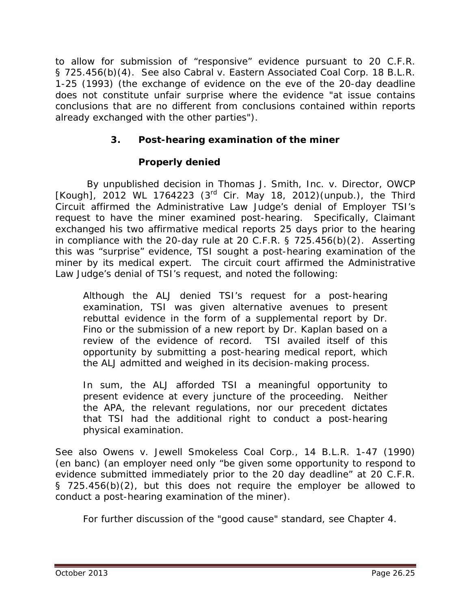to allow for submission of "responsive" evidence pursuant to 20 C.F.R. § 725.456(b)(4). *See also Cabral v. Eastern Associated Coal Corp.* 18 B.L.R. 1-25 (1993) (the exchange of evidence on the eve of the 20-day deadline does not constitute unfair surprise where the evidence "at issue contains conclusions that are no different from conclusions contained within reports already exchanged with the other parties").

# **3. Post-hearing examination of the miner**

## **Properly denied**

By unpublished decision in *Thomas J. Smith, Inc. v. Director, OWCP [Kough]*, 2012 WL 1764223 (3rd Cir. May 18, 2012)(unpub.), the Third Circuit affirmed the Administrative Law Judge's denial of Employer TSI's request to have the miner examined post-hearing. Specifically, Claimant exchanged his two affirmative medical reports 25 days prior to the hearing in compliance with the 20-day rule at 20 C.F.R. § 725.456(b)(2). Asserting this was "surprise" evidence, TSI sought a post-hearing examination of the miner by its medical expert. The circuit court affirmed the Administrative Law Judge's denial of TSI's request, and noted the following:

Although the ALJ denied TSI's request for a post-hearing examination, TSI was given alternative avenues to present rebuttal evidence in the form of a supplemental report by Dr. Fino or the submission of a new report by Dr. Kaplan based on a review of the evidence of record. TSI availed itself of this opportunity by submitting a post-hearing medical report, which the ALJ admitted and weighed in its decision-making process.

In sum, the ALJ afforded TSI a meaningful opportunity to present evidence at every juncture of the proceeding. Neither the APA, the relevant regulations, nor our precedent dictates that TSI had the additional right to conduct a post-hearing physical examination.

*See also Owens v. Jewell Smokeless Coal Corp.*, 14 B.L.R. 1-47 (1990) (en banc) (an employer need only "be given some opportunity to respond to evidence submitted immediately prior to the 20 day deadline" at 20 C.F.R. § 725.456(b)(2), but this does not require the employer be allowed to conduct a post-hearing examination of the miner).

For further discussion of the "good cause" standard, *see* Chapter 4.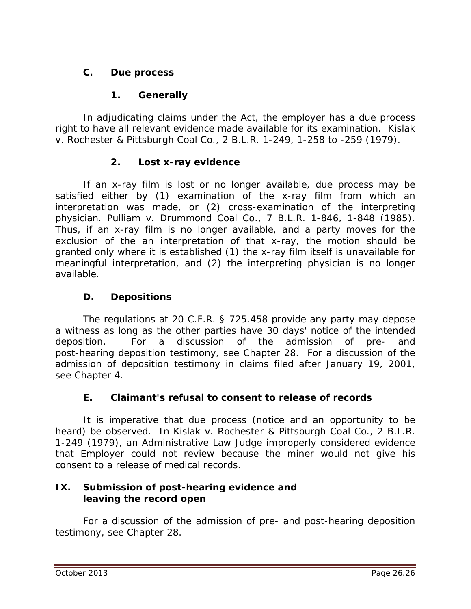## **C. Due process**

## **1. Generally**

In adjudicating claims under the Act, the employer has a due process right to have all relevant evidence made available for its examination. *Kislak v. Rochester & Pittsburgh Coal Co*., 2 B.L.R. 1-249, 1-258 to -259 (1979).

## **2. Lost x-ray evidence**

If an x-ray film is lost or no longer available, due process may be satisfied either by (1) examination of the x-ray film from which an interpretation was made, or (2) cross-examination of the interpreting physician. *Pulliam v. Drummond Coal Co.*, 7 B.L.R. 1-846, 1-848 (1985). Thus, if an x-ray film is no longer available, and a party moves for the exclusion of the an interpretation of that x-ray, the motion should be granted only where it is established (1) the x-ray film itself is unavailable for meaningful interpretation, and (2) the interpreting physician is no longer available.

## **D. Depositions**

The regulations at 20 C.F.R. § 725.458 provide any party may depose a witness as long as the other parties have 30 days' notice of the intended deposition. For a discussion of the admission of pre- and post-hearing deposition testimony, *see* Chapter 28. For a discussion of the admission of deposition testimony in claims filed after January 19, 2001, *see* Chapter 4.

## **E. Claimant's refusal to consent to release of records**

It is imperative that due process (notice and an opportunity to be heard) be observed. In *Kislak v. Rochester & Pittsburgh Coal Co.*, 2 B.L.R. 1-249 (1979), an Administrative Law Judge improperly considered evidence that Employer could not review because the miner would not give his consent to a release of medical records.

## **IX. Submission of post-hearing evidence and leaving the record open**

For a discussion of the admission of pre- and post-hearing deposition testimony, *see* Chapter 28.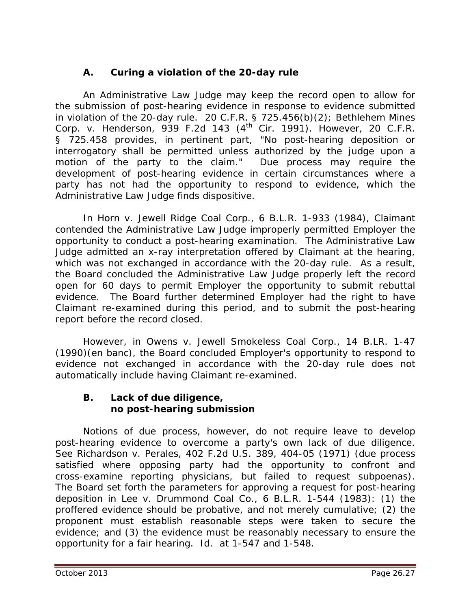# **A. Curing a violation of the 20-day rule**

An Administrative Law Judge may keep the record open to allow for the submission of post-hearing evidence in response to evidence submitted in violation of the 20-day rule. 20 C.F.R. § 725.456(b)(2); *Bethlehem Mines Corp. v. Henderson*, 939 F.2d 143 (4th Cir. 1991). However, 20 C.F.R. § 725.458 provides, in pertinent part, "No post-hearing deposition or interrogatory shall be permitted unless authorized by the judge upon a motion of the party to the claim." Due process may require the development of post-hearing evidence in certain circumstances where a party has not had the opportunity to respond to evidence, which the Administrative Law Judge finds dispositive.

In *Horn v. Jewell Ridge Coal Corp.*, 6 B.L.R. 1-933 (1984), Claimant contended the Administrative Law Judge improperly permitted Employer the opportunity to conduct a post-hearing examination. The Administrative Law Judge admitted an x-ray interpretation offered by Claimant at the hearing, which was not exchanged in accordance with the 20-day rule. As a result, the Board concluded the Administrative Law Judge properly left the record open for 60 days to permit Employer the opportunity to submit rebuttal evidence. The Board further determined Employer had the right to have Claimant re-examined during this period, and to submit the post-hearing report before the record closed.

However, in *Owens v. Jewell Smokeless Coal Corp.*, 14 B.LR. 1-47 (1990)(en banc), the Board concluded Employer's opportunity to respond to evidence not exchanged in accordance with the 20-day rule does not automatically include having Claimant re-examined.

## **B. Lack of due diligence, no post-hearing submission**

Notions of due process, however, do not require leave to develop post-hearing evidence to overcome a party's own lack of due diligence. *See Richardson v. Perales*, 402 F.2d U.S. 389, 404-05 (1971) (due process satisfied where opposing party had the opportunity to confront and cross-examine reporting physicians, but failed to request subpoenas). The Board set forth the parameters for approving a request for post-hearing deposition in *Lee v. Drummond Coal Co.*, 6 B.L.R. 1-544 (1983): (1) the proffered evidence should be probative, and not merely cumulative; (2) the proponent must establish reasonable steps were taken to secure the evidence; and (3) the evidence must be reasonably necessary to ensure the opportunity for a fair hearing. *Id.* at 1-547 and 1-548.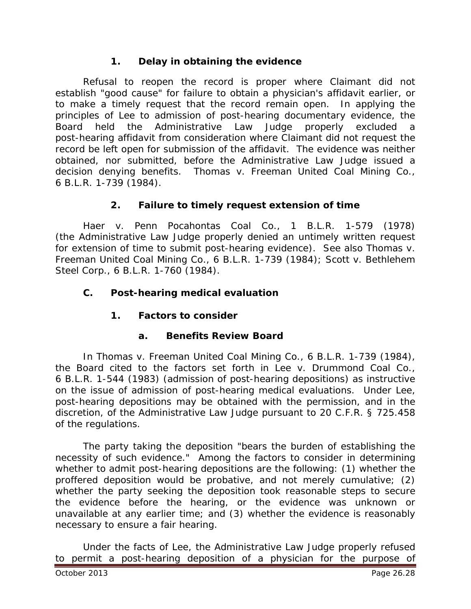## **1. Delay in obtaining the evidence**

Refusal to reopen the record is proper where Claimant did not establish "good cause" for failure to obtain a physician's affidavit earlier, or to make a timely request that the record remain open. In applying the principles of *Lee* to admission of post-hearing documentary evidence, the Board held the Administrative Law Judge properly excluded a post-hearing affidavit from consideration where Claimant did not request the record be left open for submission of the affidavit. The evidence was neither obtained, nor submitted, before the Administrative Law Judge issued a decision denying benefits. *Thomas v. Freeman United Coal Mining Co.*, 6 B.L.R. 1-739 (1984).

## **2. Failure to timely request extension of time**

*Haer v. Penn Pocahontas Coal Co.*, 1 B.L.R. 1-579 (1978) (the Administrative Law Judge properly denied an untimely written request for extension of time to submit post-hearing evidence). *See also Thomas v. Freeman United Coal Mining Co.*, 6 B.L.R. 1-739 (1984); *Scott v. Bethlehem Steel Corp.*, 6 B.L.R. 1-760 (1984).

## **C. Post-hearing medical evaluation**

# **1. Factors to consider**

## **a. Benefits Review Board**

In *Thomas v. Freeman United Coal Mining Co.*, 6 B.L.R. 1-739 (1984), the Board cited to the factors set forth in *Lee v. Drummond Coal Co.*, 6 B.L.R. 1-544 (1983) (admission of post-hearing depositions) as instructive on the issue of admission of post-hearing medical evaluations. Under *Lee*, post-hearing depositions may be obtained with the permission, and in the discretion, of the Administrative Law Judge pursuant to 20 C.F.R. § 725.458 of the regulations.

The party taking the deposition "bears the burden of establishing the necessity of such evidence." Among the factors to consider in determining whether to admit post-hearing depositions are the following: (1) whether the proffered deposition would be probative, and not merely cumulative; (2) whether the party seeking the deposition took reasonable steps to secure the evidence before the hearing, or the evidence was unknown or unavailable at any earlier time; and (3) whether the evidence is reasonably necessary to ensure a fair hearing.

Under the facts of *Lee*, the Administrative Law Judge properly refused to permit a post-hearing deposition of a physician for the purpose of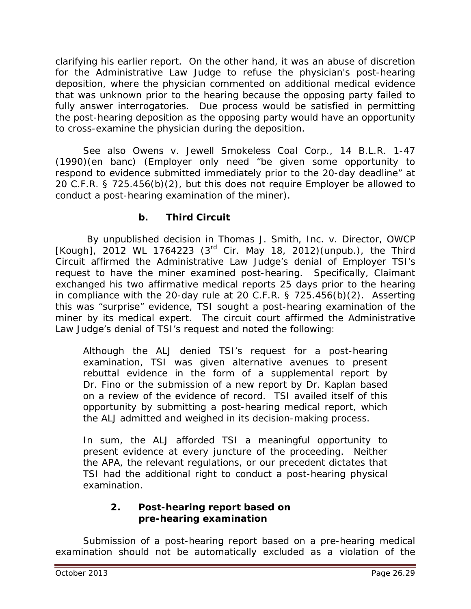clarifying his earlier report. On the other hand, it was an abuse of discretion for the Administrative Law Judge to refuse the physician's post-hearing deposition, where the physician commented on additional medical evidence that was unknown prior to the hearing because the opposing party failed to fully answer interrogatories. Due process would be satisfied in permitting the post-hearing deposition as the opposing party would have an opportunity to cross-examine the physician during the deposition.

*See also Owens v. Jewell Smokeless Coal Corp.*, 14 B.L.R. 1-47 (1990)(en banc) (Employer only need "be given some opportunity to respond to evidence submitted immediately prior to the 20-day deadline" at 20 C.F.R. § 725.456(b)(2), but this does not require Employer be allowed to conduct a post-hearing examination of the miner).

## **b. Third Circuit**

By unpublished decision in *Thomas J. Smith, Inc. v. Director, OWCP [Kough]*, 2012 WL 1764223 (3rd Cir. May 18, 2012)(unpub.), the Third Circuit affirmed the Administrative Law Judge's denial of Employer TSI's request to have the miner examined post-hearing. Specifically, Claimant exchanged his two affirmative medical reports 25 days prior to the hearing in compliance with the 20-day rule at 20 C.F.R. § 725.456(b)(2). Asserting this was "surprise" evidence, TSI sought a post-hearing examination of the miner by its medical expert. The circuit court affirmed the Administrative Law Judge's denial of TSI's request and noted the following:

Although the ALJ denied TSI's request for a post-hearing examination, TSI was given alternative avenues to present rebuttal evidence in the form of a supplemental report by Dr. Fino or the submission of a new report by Dr. Kaplan based on a review of the evidence of record. TSI availed itself of this opportunity by submitting a post-hearing medical report, which the ALJ admitted and weighed in its decision-making process.

In sum, the ALJ afforded TSI a meaningful opportunity to present evidence at every juncture of the proceeding. Neither the APA, the relevant regulations, or our precedent dictates that TSI had the additional right to conduct a post-hearing physical examination.

## **2. Post-hearing report based on pre-hearing examination**

Submission of a post-hearing report based on a pre-hearing medical examination should not be automatically excluded as a violation of the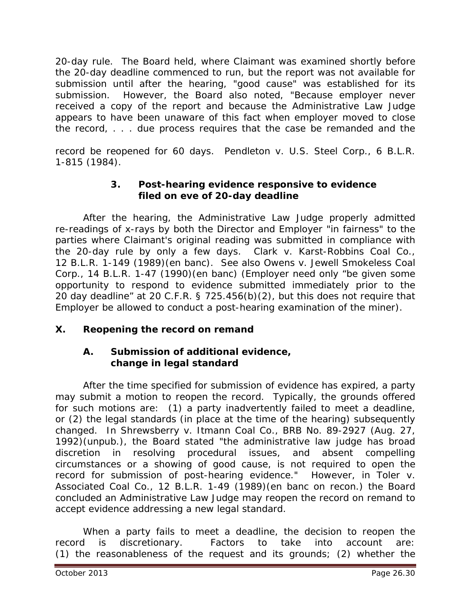20-day rule. The Board held, where Claimant was examined shortly before the 20-day deadline commenced to run, but the report was not available for submission until after the hearing, "good cause" was established for its submission. However, the Board also noted, "Because employer never received a copy of the report and because the Administrative Law Judge appears to have been unaware of this fact when employer moved to close the record, . . . due process requires that the case be remanded and the

record be reopened for 60 days. *Pendleton v. U.S. Steel Corp.*, 6 B.L.R. 1-815 (1984).

## **3. Post-hearing evidence responsive to evidence filed on eve of 20-day deadline**

After the hearing, the Administrative Law Judge properly admitted re-readings of x-rays by both the Director and Employer "in fairness" to the parties where Claimant's original reading was submitted in compliance with the 20-day rule by only a few days. *Clark v. Karst-Robbins Coal Co.*, 12 B.L.R. 1-149 (1989)(en banc). *See also Owens v. Jewell Smokeless Coal Corp.*, 14 B.L.R. 1-47 (1990)(en banc) (Employer need only "be given some opportunity to respond to evidence submitted immediately prior to the 20 day deadline" at 20 C.F.R. § 725.456(b)(2), but this does not require that Employer be allowed to conduct a post-hearing examination of the miner).

## **X. Reopening the record on remand**

## **A. Submission of additional evidence, change in legal standard**

After the time specified for submission of evidence has expired, a party may submit a motion to reopen the record. Typically, the grounds offered for such motions are: (1) a party inadvertently failed to meet a deadline, or (2) the legal standards (in place at the time of the hearing) subsequently changed. In *Shrewsberry v. Itmann Coal Co.*, BRB No. 89-2927 (Aug. 27, 1992)(unpub.), the Board stated "the administrative law judge has broad discretion in resolving procedural issues, and absent compelling circumstances or a showing of good cause, is not required to open the record for submission of post-hearing evidence." However, in *Toler v. Associated Coal Co.*, 12 B.L.R. 1-49 (1989)(en banc on recon.) the Board concluded an Administrative Law Judge may reopen the record on remand to accept evidence addressing a new legal standard.

When a party fails to meet a deadline, the decision to reopen the record is discretionary. Factors to take into account are: (1) the reasonableness of the request and its grounds; (2) whether the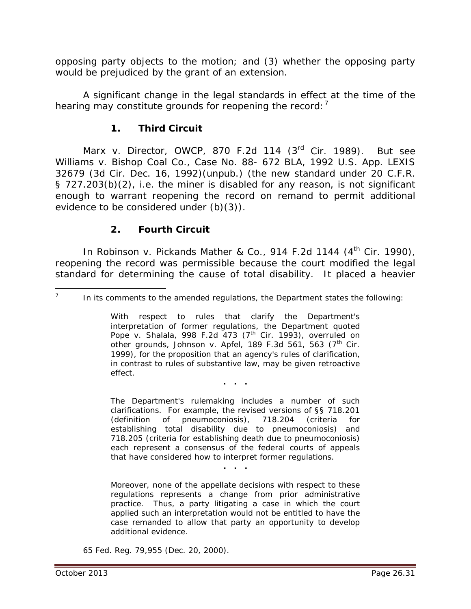opposing party objects to the motion; and (3) whether the opposing party would be prejudiced by the grant of an extension.

A *significant* change in the legal standards in effect at the time of the hearing may constitute grounds for reopening the record:<sup>[7](#page-30-0)</sup>

## **1. Third Circuit**

*Marx v. Director*, OWCP, 870 F.2d 114 (3rd Cir. 1989). *But see Williams v. Bishop Coal Co.*, Case No. 88- 672 BLA, 1992 U.S. App. LEXIS 32679 (3d Cir. Dec. 16, 1992)(unpub.) (the new standard under 20 C.F.R. § 727.203(b)(2), *i.e.* the miner is disabled for *any* reason, is not significant enough to warrant reopening the record on remand to permit additional evidence to be considered under (b)(3)).

## **2. Fourth Circuit**

In *Robinson v. Pickands Mather & Co.*, 914 F.2d 1144 (4<sup>th</sup> Cir. 1990), reopening the record was permissible because the court modified the legal standard for determining the cause of total disability. It placed a heavier

With respect to rules that clarify the Department's interpretation of former regulations, the Department quoted *Pope v. Shalala*, 998 F.2d 473 (7th Cir. 1993), *overruled on other grounds*, *Johnson v. Apfel*, 189 F.3d 561, 563 (7th Cir. 1999), for the proposition that an agency's rules of clarification, in contrast to rules of substantive law, may be given retroactive effect.

**. . .**

The Department's rulemaking includes a number of such clarifications. For example, the revised versions of §§ 718.201 (definition of pneumoconiosis), 718.204 (criteria for establishing total disability due to pneumoconiosis) and 718.205 (criteria for establishing death due to pneumoconiosis) each represent a consensus of the federal courts of appeals that have considered how to interpret former regulations.

**. . .**

Moreover, none of the appellate decisions with respect to these regulations represents a change from prior administrative practice. Thus, a party litigating a case in which the court applied such an interpretation would not be entitled to have the case remanded to allow that party an opportunity to develop additional evidence.

65 Fed. Reg. 79,955 (Dec. 20, 2000).

<span id="page-30-0"></span><sup>&</sup>lt;sup>-</sup> In its comments to the amended regulations, the Department states the following: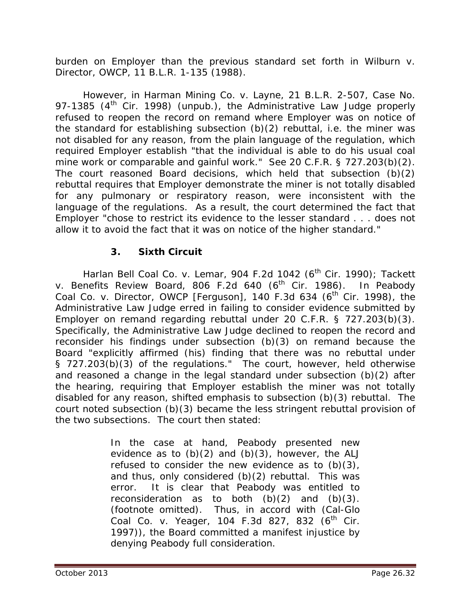burden on Employer than the previous standard set forth in *Wilburn v. Director, OWCP*, 11 B.L.R. 1-135 (1988).

However, in *Harman Mining Co. v. Layne*, 21 B.L.R. 2-507, Case No. 97-1385 ( $4<sup>th</sup>$  Cir. 1998) (unpub.), the Administrative Law Judge properly refused to reopen the record on remand where Employer was on notice of the standard for establishing subsection (b)(2) rebuttal, *i.e.* the miner was not disabled for any reason, from the plain language of the regulation, which required Employer establish "that the individual is able to do his usual coal mine work or comparable and gainful work." *See* 20 C.F.R. § 727.203(b)(2). The court reasoned Board decisions, which held that subsection (b)(2) rebuttal requires that Employer demonstrate the miner is not totally disabled for any pulmonary or respiratory reason, were inconsistent with the language of the regulations. As a result, the court determined the fact that Employer "chose to restrict its evidence to the lesser standard . . . does not allow it to avoid the fact that it was on notice of the higher standard."

# **3. Sixth Circuit**

*Harlan Bell Coal Co. v. Lemar*, 904 F.2d 1042 (6<sup>th</sup> Cir. 1990); *Tackett v. Benefits Review Board*, 806 F.2d 640 (6<sup>th</sup> Cir. 1986). In *Peabody Coal Co. v. Director, OWCP [Ferguson]*, 140 F.3d 634 (6<sup>th</sup> Cir. 1998), the Administrative Law Judge erred in failing to consider evidence submitted by Employer on remand regarding rebuttal under 20 C.F.R. § 727.203(b)(3). Specifically, the Administrative Law Judge declined to reopen the record and reconsider his findings under subsection (b)(3) on remand because the Board "explicitly affirmed (his) finding that there was no rebuttal under § 727.203(b)(3) of the regulations." The court, however, held otherwise and reasoned a change in the legal standard under subsection (b)(2) after the hearing, requiring that Employer establish the miner was not totally disabled for *any* reason, shifted emphasis to subsection (b)(3) rebuttal. The court noted subsection (b)(3) became the less stringent rebuttal provision of the two subsections. The court then stated:

> In the case at hand, Peabody presented new evidence as to  $(b)(2)$  and  $(b)(3)$ , however, the ALJ refused to consider the new evidence as to  $(b)(3)$ , and thus, only considered (b)(2) rebuttal. This was error. It is clear that Peabody was entitled to reconsideration as to both  $(b)(2)$  and  $(b)(3)$ . (footnote omitted). Thus, in accord with *(Cal-Glo Coal Co. v. Yeager*, 104 F.3d 827, 832 (6<sup>th</sup> Cir. 1997)), the Board committed a manifest injustice by denying Peabody full consideration.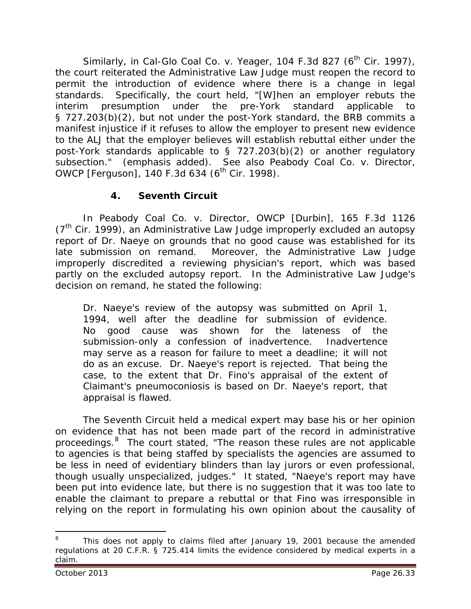Similarly, in *Cal-Glo Coal Co. v. Yeager*, 104 F.3d 827 (6<sup>th</sup> Cir. 1997), the court reiterated the Administrative Law Judge must reopen the record to permit the introduction of evidence where there is a change in legal standards. Specifically, the court held, "[W]hen an employer rebuts the interim presumption under the pre-*York* standard applicable to § 727.203(b)(2), but not under the post-*York* standard, the BRB commits a manifest injustice if it refuses to allow the employer to present new evidence to the ALJ that the employer believes will establish rebuttal either under the post-*York* standards applicable to § 727.203(b)(2) *or another regulatory subsection*." (emphasis added). *See also Peabody Coal Co. v. Director, OWCP [Ferguson]*, 140 F.3d 634 (6<sup>th</sup> Cir. 1998).

# **4. Seventh Circuit**

In *Peabody Coal Co. v. Director, OWCP [Durbin]*, 165 F.3d 1126  $(7<sup>th</sup>$  Cir. 1999), an Administrative Law Judge improperly excluded an autopsy report of Dr. Naeye on grounds that no good cause was established for its late submission on remand. Moreover, the Administrative Law Judge improperly discredited a reviewing physician's report, which was based partly on the excluded autopsy report. In the Administrative Law Judge's decision on remand, he stated the following:

Dr. Naeye's review of the autopsy was submitted on April 1, 1994, well after the deadline for submission of evidence. No good cause was shown for the lateness of the submission-only a confession of inadvertence. Inadvertence may serve as a reason for failure to meet a deadline; it will not do as an excuse. Dr. Naeye's report is rejected. That being the case, to the extent that Dr. Fino's appraisal of the extent of Claimant's pneumoconiosis is based on Dr. Naeye's report, that appraisal is flawed.

The Seventh Circuit held a medical expert may base his or her opinion on evidence that has not been made part of the record in administrative proceedings.<sup>[8](#page-32-0)</sup> The court stated, "The reason these rules are not applicable to agencies is that being staffed by specialists the agencies are assumed to be less in need of evidentiary blinders than lay jurors or even professional, though usually unspecialized, judges." It stated, "Naeye's report may have been put into evidence late, but there is no suggestion that it was too late to enable the claimant to prepare a rebuttal or that Fino was irresponsible in relying on the report in formulating his own opinion about the causality of

<span id="page-32-0"></span>This does not apply to claims filed after January 19, 2001 because the amended regulations at 20 C.F.R. § 725.414 limits the evidence considered by medical experts in a claim.  $\overline{a}$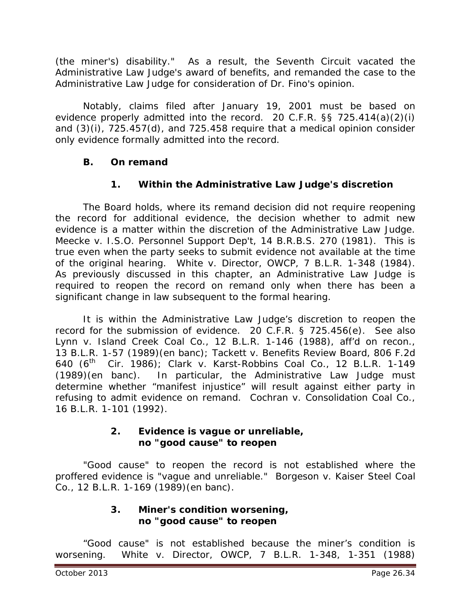(the miner's) disability." As a result, the Seventh Circuit vacated the Administrative Law Judge's award of benefits, and remanded the case to the Administrative Law Judge for consideration of Dr. Fino's opinion.

Notably, claims filed after January 19, 2001 must be based on evidence properly admitted into the record. 20 C.F.R. §§ 725.414(a)(2)(i) and (3)(i), 725.457(d), and 725.458 require that a medical opinion consider only evidence formally admitted into the record.

## **B. On remand**

## **1. Within the Administrative Law Judge's discretion**

The Board holds, where its remand decision did not require reopening the record for additional evidence, the decision whether to admit new evidence is a matter within the discretion of the Administrative Law Judge. *Meecke v. I.S.O. Personnel Support Dep't*, 14 B.R.B.S. 270 (1981). This is true even when the party seeks to submit evidence not available at the time of the original hearing. *White v. Director, OWCP*, 7 B.L.R. 1-348 (1984). As previously discussed in this chapter, an Administrative Law Judge is required to reopen the record on remand only when there has been a significant change in law subsequent to the formal hearing.

It is within the Administrative Law Judge's discretion to reopen the record for the submission of evidence. 20 C.F.R. § 725.456(e). *See also Lynn v. Island Creek Coal Co.*, 12 B.L.R. 1-146 (1988), *aff'd on recon.*, 13 B.L.R. 1-57 (1989)(en banc); *Tackett v. Benefits Review Board*, 806 F.2d 640 (6th Cir. 1986); *Clark v. Karst-Robbins Coal Co.*, 12 B.L.R. 1-149 (1989)(*en banc*). In particular, the Administrative Law Judge must determine whether "manifest injustice" will result against either party in refusing to admit evidence on remand. *Cochran v. Consolidation Coal Co.*, 16 B.L.R. 1-101 (1992).

#### **2. Evidence is vague or unreliable, no "good cause" to reopen**

"Good cause" to reopen the record is not established where the proffered evidence is "vague and unreliable." *Borgeson v. Kaiser Steel Coal Co.*, 12 B.L.R. 1-169 (1989)(en banc).

## **3. Miner's condition worsening, no "good cause" to reopen**

"Good cause" is not established because the miner's condition is worsening. *White v. Director, OWCP*, 7 B.L.R. 1-348, 1-351 (1988)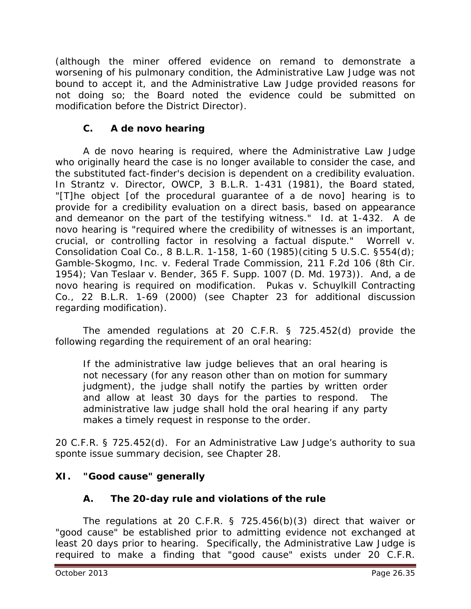(although the miner offered evidence on remand to demonstrate a worsening of his pulmonary condition, the Administrative Law Judge was not bound to accept it, and the Administrative Law Judge provided reasons for not doing so; the Board noted the evidence could be submitted on modification before the District Director).

# **C. A** *de novo* **hearing**

A *de novo* hearing is required, where the Administrative Law Judge who originally heard the case is no longer available to consider the case, *and* the substituted fact-finder's decision is dependent on a credibility evaluation. In *Strantz v. Director, OWCP*, 3 B.L.R. 1-431 (1981), the Board stated, "[T]he object [of the procedural guarantee of a *de novo*] hearing is to provide for a credibility evaluation on a direct basis, based on appearance and demeanor on the part of the testifying witness." *Id.* at 1-432. A *de novo* hearing is "required where the credibility of witnesses is an important, crucial, or controlling factor in resolving a factual dispute." *Worrell v. Consolidation Coal Co.*, 8 B.L.R. 1-158, 1-60 (1985)(citing 5 U.S.C. §554(d); *Gamble-Skogmo, Inc. v. Federal Trade Commission*, 211 F.2d 106 (8th Cir. 1954); *Van Teslaar v. Bender*, 365 F. Supp. 1007 (D. Md. 1973)). And, a *de novo* hearing is required on modification. *Pukas v. Schuylkill Contracting Co.*, 22 B.L.R. 1-69 (2000) (*see* Chapter 23 for additional discussion regarding modification).

The amended regulations at 20 C.F.R. § 725.452(d) provide the following regarding the requirement of an oral hearing:

If the administrative law judge believes that an oral hearing is not necessary (for any reason other than on motion for summary judgment), the judge shall notify the parties by written order and allow at least 30 days for the parties to respond. The administrative law judge shall hold the oral hearing if any party makes a timely request in response to the order.

20 C.F.R. § 725.452(d). For an Administrative Law Judge's authority to *sua sponte* issue summary decision, *see* Chapter 28.

## **XI. "Good cause" generally**

## **A. The 20-day rule and violations of the rule**

The regulations at 20 C.F.R. § 725.456(b)(3) direct that waiver or "good cause" be established prior to admitting evidence not exchanged at least 20 days prior to hearing. Specifically, the Administrative Law Judge is required to make a finding that "good cause" exists under 20 C.F.R.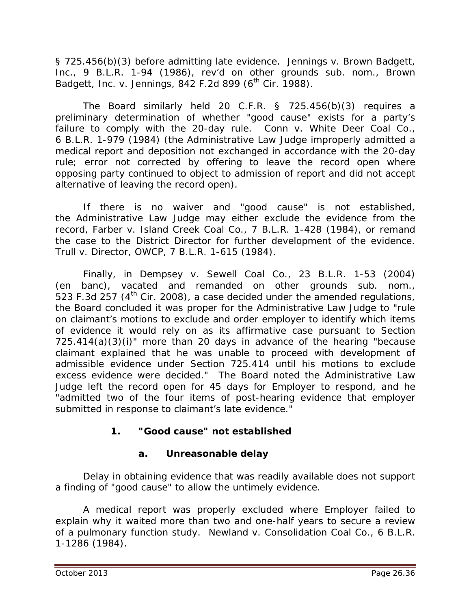§ 725.456(b)(3) before admitting late evidence. *Jennings v. Brown Badgett, Inc.*, 9 B.L.R. 1-94 (1986), *rev'd on other grounds sub. nom.*, *Brown Badgett, Inc. v. Jennings, 842 F.2d 899 (6<sup>th</sup> Cir. 1988).* 

The Board similarly held 20 C.F.R. § 725.456(b)(3) requires a preliminary determination of whether "good cause" exists for a party's failure to comply with the 20-day rule. *Conn v. White Deer Coal Co.*, 6 B.L.R. 1-979 (1984) (the Administrative Law Judge improperly admitted a medical report and deposition not exchanged in accordance with the 20-day rule; error not corrected by offering to leave the record open where opposing party continued to object to admission of report and did not accept alternative of leaving the record open).

If there is no waiver and "good cause" is not established, the Administrative Law Judge may either exclude the evidence from the record, *Farber v. Island Creek Coal Co.*, 7 B.L.R. 1-428 (1984), or remand the case to the District Director for further development of the evidence. *Trull v. Director, OWCP*, 7 B.L.R. 1-615 (1984).

Finally, in *Dempsey v. Sewell Coal Co.,* 23 B.L.R. 1-53 (2004) (en banc), *vacated and remanded on other grounds sub. nom.*, 523 F.3d 257 ( $4<sup>th</sup>$  Cir. 2008), a case decided under the amended regulations, the Board concluded it was proper for the Administrative Law Judge to "rule on claimant's motions to exclude and order employer to identify which items of evidence it would rely on as its affirmative case pursuant to Section 725.414(a)(3)(i)" more than 20 days in advance of the hearing "because claimant explained that he was unable to proceed with development of admissible evidence under Section 725.414 until his motions to exclude excess evidence were decided." The Board noted the Administrative Law Judge left the record open for 45 days for Employer to respond, and he "admitted two of the four items of post-hearing evidence that employer submitted in response to claimant's late evidence."

# **1. "Good cause" not established**

# **a. Unreasonable delay**

Delay in obtaining evidence that was readily available does not support a finding of "good cause" to allow the untimely evidence.

A medical report was properly excluded where Employer failed to explain why it waited more than two and one-half years to secure a review of a pulmonary function study. *Newland v. Consolidation Coal Co.*, 6 B.L.R. 1-1286 (1984).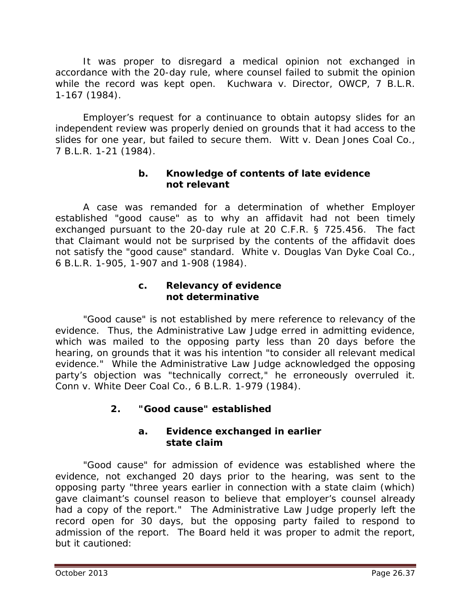It was proper to disregard a medical opinion not exchanged in accordance with the 20-day rule, where counsel failed to submit the opinion while the record was kept open. *Kuchwara v. Director, OWCP*, 7 B.L.R. 1-167 (1984).

Employer's request for a continuance to obtain autopsy slides for an independent review was properly denied on grounds that it had access to the slides for one year, but failed to secure them. *Witt v. Dean Jones Coal Co.*, 7 B.L.R. 1-21 (1984).

## **b. Knowledge of contents of late evidence not relevant**

A case was remanded for a determination of whether Employer established "good cause" as to why an affidavit had not been timely exchanged pursuant to the 20-day rule at 20 C.F.R. § 725.456. The fact that Claimant would not be surprised by the contents of the affidavit does not satisfy the "good cause" standard. *White v. Douglas Van Dyke Coal Co.*, 6 B.L.R. 1-905, 1-907 and 1-908 (1984).

#### **c. Relevancy of evidence not determinative**

"Good cause" is not established by mere reference to relevancy of the evidence. Thus, the Administrative Law Judge erred in admitting evidence, which was mailed to the opposing party less than 20 days before the hearing, on grounds that it was his intention "to consider all relevant medical evidence." While the Administrative Law Judge acknowledged the opposing party's objection was "technically correct," he erroneously overruled it. *Conn v. White Deer Coal Co.*, 6 B.L.R. 1-979 (1984).

# **2. "Good cause" established**

#### **a. Evidence exchanged in earlier state claim**

"Good cause" for admission of evidence was established where the evidence, not exchanged 20 days prior to the hearing, was sent to the opposing party "three years earlier in connection with a state claim (which) gave claimant's counsel reason to believe that employer's counsel already had a copy of the report." The Administrative Law Judge properly left the record open for 30 days, but the opposing party failed to respond to admission of the report. The Board held it was proper to admit the report, but it cautioned: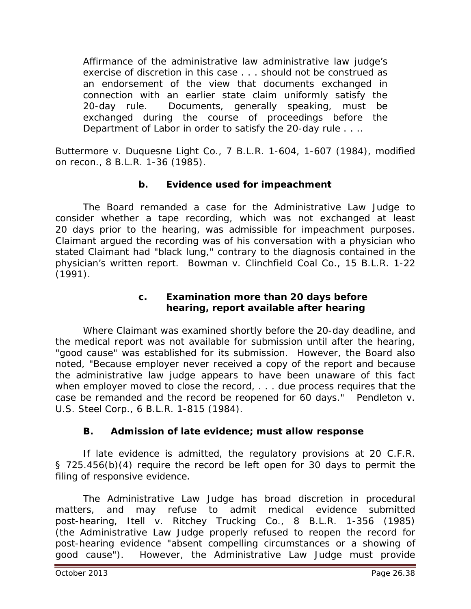Affirmance of the administrative law administrative law judge's exercise of discretion in this case . . . should not be construed as an endorsement of the view that documents exchanged in connection with an earlier state claim uniformly satisfy the 20-day rule. Documents, generally speaking, must be exchanged during the course of proceedings before the Department of Labor in order to satisfy the 20-day rule . . ..

*Buttermore v. Duquesne Light Co.*, 7 B.L.R. 1-604, 1-607 (1984), *modified on recon.*, 8 B.L.R. 1-36 (1985).

## **b. Evidence used for impeachment**

The Board remanded a case for the Administrative Law Judge to consider whether a tape recording, which was not exchanged at least 20 days prior to the hearing, was admissible for impeachment purposes. Claimant argued the recording was of his conversation with a physician who stated Claimant had "black lung," contrary to the diagnosis contained in the physician's written report. *Bowman v. Clinchfield Coal Co.*, 15 B.L.R. 1-22 (1991).

## **c. Examination more than 20 days before hearing, report available after hearing**

Where Claimant was examined shortly before the 20-day deadline, and the medical report was not available for submission until after the hearing, "good cause" was established for its submission. However, the Board also noted, "Because employer never received a copy of the report and because the administrative law judge appears to have been unaware of this fact when employer moved to close the record, . . . due process requires that the case be remanded and the record be reopened for 60 days." *Pendleton v. U.S. Steel Corp.*, 6 B.L.R. 1-815 (1984).

## **B. Admission of late evidence; must allow response**

If late evidence is admitted, the regulatory provisions at 20 C.F.R. § 725.456(b)(4) require the record be left open for 30 days to permit the filing of responsive evidence.

The Administrative Law Judge has broad discretion in procedural matters, and may refuse to admit medical evidence submitted post-hearing, *Itell v. Ritchey Trucking Co.*, 8 B.L.R. 1-356 (1985) (the Administrative Law Judge properly refused to reopen the record for post-hearing evidence "absent compelling circumstances or a showing of good cause"). However, the Administrative Law Judge must provide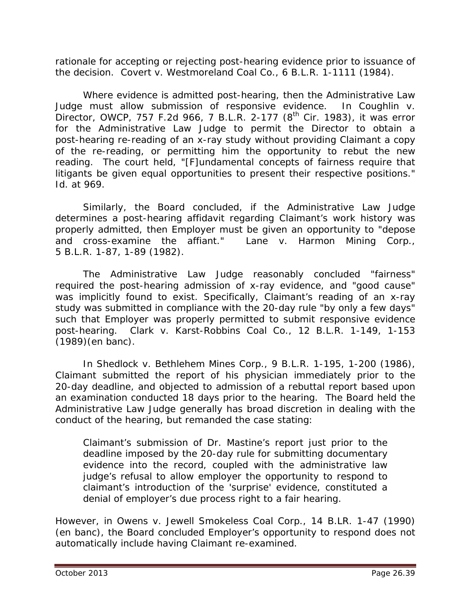rationale for accepting or rejecting post-hearing evidence *prior to* issuance of the decision. *Covert v. Westmoreland Coal Co.*, 6 B.L.R. 1-1111 (1984).

Where evidence is admitted post-hearing, then the Administrative Law Judge must allow submission of responsive evidence. In *Coughlin v. Director, OWCP*, 757 F.2d 966, 7 B.L.R. 2-177 (8<sup>th</sup> Cir. 1983), it was error for the Administrative Law Judge to permit the Director to obtain a post-hearing re-reading of an x-ray study without providing Claimant a copy of the re-reading, or permitting him the opportunity to rebut the new reading. The court held, "[F]undamental concepts of fairness require that litigants be given equal opportunities to present their respective positions." *Id*. at 969.

Similarly, the Board concluded, if the Administrative Law Judge determines a post-hearing affidavit regarding Claimant's work history was properly admitted, then Employer must be given an opportunity to "depose and cross-examine the affiant." *Lane v. Harmon Mining Corp.*, 5 B.L.R. 1-87, 1-89 (1982).

The Administrative Law Judge reasonably concluded "fairness" required the post-hearing admission of x-ray evidence, and "good cause" was implicitly found to exist. Specifically, Claimant's reading of an x-ray study was submitted in compliance with the 20-day rule "by only a few days" such that Employer was properly permitted to submit responsive evidence post-hearing. *Clark v. Karst-Robbins Coal Co.*, 12 B.L.R. 1-149, 1-153 (1989)(en banc).

In *Shedlock v. Bethlehem Mines Corp.*, 9 B.L.R. 1-195, 1-200 (1986), Claimant submitted the report of his physician immediately prior to the 20-day deadline, and objected to admission of a rebuttal report based upon an examination conducted 18 days prior to the hearing. The Board held the Administrative Law Judge generally has broad discretion in dealing with the conduct of the hearing, but remanded the case stating:

Claimant's submission of Dr. Mastine's report just prior to the deadline imposed by the 20-day rule for submitting documentary evidence into the record, coupled with the administrative law judge's refusal to allow employer the opportunity to respond to claimant's introduction of the 'surprise' evidence, constituted a denial of employer's due process right to a fair hearing.

However, in *Owens v. Jewell Smokeless Coal Corp.*, 14 B.LR. 1-47 (1990) (en banc), the Board concluded Employer's opportunity to respond does not automatically include having Claimant re-examined.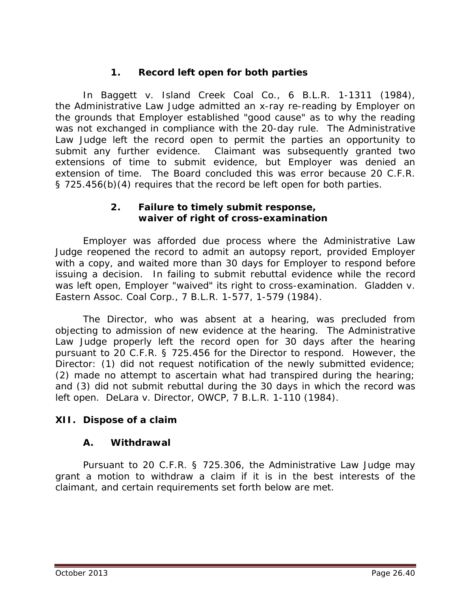# **1. Record left open for both parties**

In *Baggett v. Island Creek Coal Co.*, 6 B.L.R. 1-1311 (1984), the Administrative Law Judge admitted an x-ray re-reading by Employer on the grounds that Employer established "good cause" as to why the reading was not exchanged in compliance with the 20-day rule. The Administrative Law Judge left the record open to permit the parties an opportunity to submit any further evidence. Claimant was subsequently granted two extensions of time to submit evidence, but Employer was denied an extension of time. The Board concluded this was error because 20 C.F.R. § 725.456(b)(4) requires that the record be left open for both parties.

#### **2. Failure to timely submit response, waiver of right of cross-examination**

Employer was afforded due process where the Administrative Law Judge reopened the record to admit an autopsy report, provided Employer with a copy, and waited more than 30 days for Employer to respond before issuing a decision. In failing to submit rebuttal evidence while the record was left open, Employer "waived" its right to cross-examination. *Gladden v. Eastern Assoc. Coal Corp.*, 7 B.L.R. 1-577, 1-579 (1984).

The Director, who was absent at a hearing, was precluded from objecting to admission of new evidence at the hearing. The Administrative Law Judge properly left the record open for 30 days after the hearing pursuant to 20 C.F.R. § 725.456 for the Director to respond. However, the Director: (1) did not request notification of the newly submitted evidence; (2) made no attempt to ascertain what had transpired during the hearing; and (3) did not submit rebuttal during the 30 days in which the record was left open. *DeLara v. Director, OWCP*, 7 B.L.R. 1-110 (1984).

## **XII. Dispose of a claim**

#### **A. Withdrawal**

Pursuant to 20 C.F.R. § 725.306, the Administrative Law Judge may grant a motion to withdraw a claim if it is *in the best interests of the claimant*, and certain requirements set forth below are met.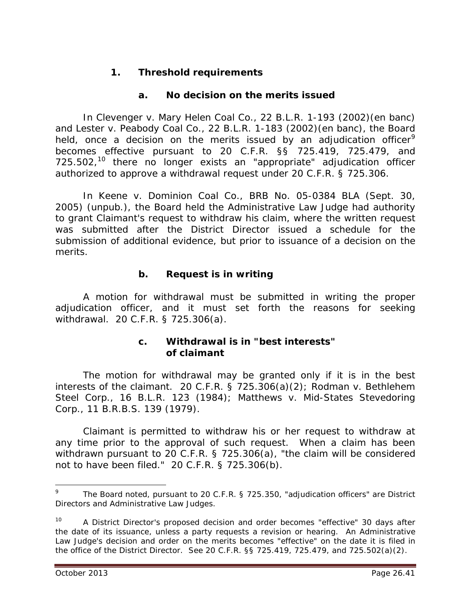## **1. Threshold requirements**

## **a. No decision on the merits issued**

In *Clevenger v. Mary Helen Coal Co.*, 22 B.L.R. 1-193 (2002)(en banc) and *Lester v. Peabody Coal Co.*, 22 B.L.R. 1-183 (2002)(en banc), the Board held, once a decision on the merits issued by an adjudication officer<sup>[9](#page-40-0)</sup> becomes effective pursuant to 20 C.F.R. §§ 725.419, 725.479, and 725.502,<sup>[10](#page-40-1)</sup> there no longer exists an "appropriate" adjudication officer authorized to approve a withdrawal request under 20 C.F.R. § 725.306.

In *Keene v. Dominion Coal Co.*, BRB No. 05-0384 BLA (Sept. 30, 2005) (unpub.), the Board held the Administrative Law Judge had authority to grant Claimant's request to withdraw his claim, where the written request was submitted after the District Director issued a schedule for the submission of additional evidence, but prior to issuance of a decision on the merits.

## **b. Request is in writing**

A motion for withdrawal must be submitted in writing the proper adjudication officer, and it must set forth the reasons for seeking withdrawal. 20 C.F.R. § 725.306(a).

## **c. Withdrawal is in "best interests" of claimant**

The motion for withdrawal may be granted only if it is in the best interests of the claimant. 20 C.F.R. § 725.306(a)(2); *Rodman v. Bethlehem Steel Corp.*, 16 B.L.R. 123 (1984); *Matthews v. Mid-States Stevedoring Corp.*, 11 B.R.B.S. 139 (1979).

Claimant is permitted to withdraw his or her request to withdraw at any time prior to the approval of such request. When a claim has been withdrawn pursuant to 20 C.F.R. § 725.306(a), "the claim will be considered not to have been filed." 20 C.F.R. § 725.306(b).

 $\overline{a}$ 

<span id="page-40-0"></span><sup>9</sup> The Board noted, pursuant to 20 C.F.R. § 725.350, "adjudication officers" are District Directors and Administrative Law Judges.

<span id="page-40-1"></span><sup>&</sup>lt;sup>10</sup> A District Director's proposed decision and order becomes "effective" 30 days after the date of its issuance, unless a party requests a revision or hearing. An Administrative Law Judge's decision and order on the merits becomes "effective" on the date it is filed in the office of the District Director. *See* 20 C.F.R. §§ 725.419, 725.479, and 725.502(a)(2).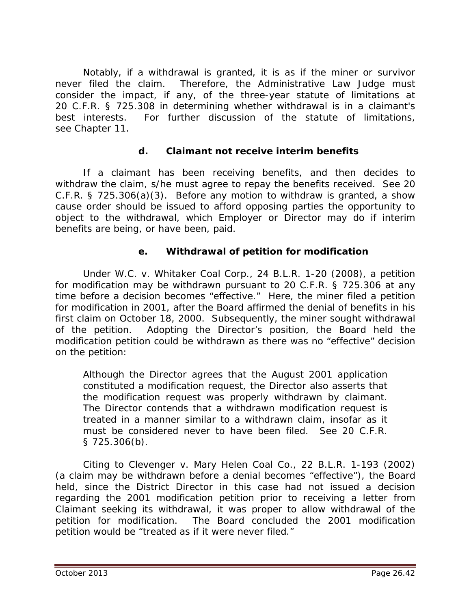Notably, if a withdrawal is granted, it is as if the miner or survivor never filed the claim. Therefore, the Administrative Law Judge must consider the impact, if any, of the three-year statute of limitations at 20 C.F.R. § 725.308 in determining whether withdrawal is in a claimant's best interests. For further discussion of the statute of limitations, *see* Chapter 11*.*

## **d. Claimant not receive interim benefits**

If a claimant has been receiving benefits, and then decides to withdraw the claim, s/he must agree to repay the benefits received. *See* 20 C.F.R. § 725.306(a)(3). Before any motion to withdraw is granted, a show cause order should be issued to afford opposing parties the opportunity to object to the withdrawal, which Employer or Director may do if interim benefits are being, or have been, paid.

## **e. Withdrawal of petition for modification**

Under *W.C. v. Whitaker Coal Corp.*, 24 B.L.R. 1-20 (2008), a petition for modification may be withdrawn pursuant to 20 C.F.R. § 725.306 at any time before a decision becomes "effective." Here, the miner filed a petition for modification in 2001, after the Board affirmed the denial of benefits in his first claim on October 18, 2000. Subsequently, the miner sought withdrawal of the petition. Adopting the Director's position, the Board held the modification petition could be withdrawn as there was no "effective" decision on the petition:

Although the Director agrees that the August 2001 application constituted a modification request, the Director also asserts that the modification request was properly withdrawn by claimant. The Director contends that a withdrawn modification request is treated in a manner similar to a withdrawn claim, insofar as it must be considered never to have been filed. *See* 20 C.F.R. § 725.306(b).

Citing to *Clevenger v. Mary Helen Coal Co.*, 22 B.L.R. 1-193 (2002) (a claim may be withdrawn before a denial becomes "effective"), the Board held, since the District Director in this case had not issued a decision regarding the 2001 modification petition prior to receiving a letter from Claimant seeking its withdrawal, it was proper to allow withdrawal of the petition for modification. The Board concluded the 2001 modification petition would be "treated as if it were never filed."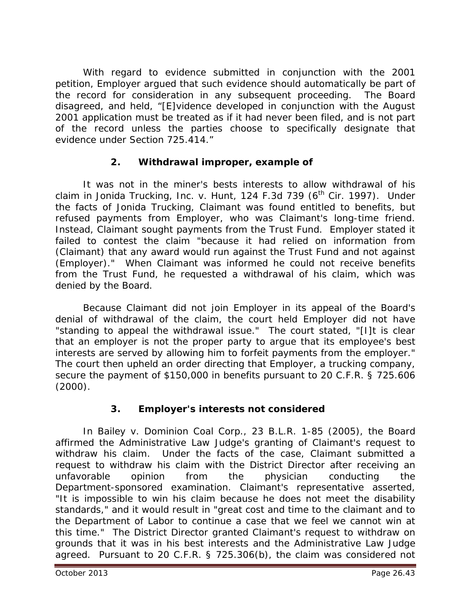With regard to evidence submitted in conjunction with the 2001 petition, Employer argued that such evidence should automatically be part of the record for consideration in any subsequent proceeding. The Board disagreed, and held, "[E]vidence developed in conjunction with the August 2001 application must be treated as if it had never been filed, and is not part of the record unless the parties choose to specifically designate that evidence under Section 725.414."

## **2. Withdrawal improper, example of**

It was not in the miner's bests interests to allow withdrawal of his claim in *Jonida Trucking, Inc. v. Hunt*, 124 F.3d 739 (6<sup>th</sup> Cir. 1997). Under the facts of *Jonida Trucking*, Claimant was found entitled to benefits, but refused payments from Employer, who was Claimant's long-time friend. Instead, Claimant sought payments from the Trust Fund. Employer stated it failed to contest the claim "because it had relied on information from (Claimant) that any award would run against the Trust Fund and not against (Employer)." When Claimant was informed he could not receive benefits from the Trust Fund, he requested a withdrawal of his claim, which was denied by the Board.

Because Claimant did not join Employer in its appeal of the Board's denial of withdrawal of the claim, the court held Employer did not have "standing to appeal the withdrawal issue." The court stated, "[I]t is clear that an employer is not the proper party to argue that its employee's best interests are served by allowing him to forfeit payments from the employer." The court then upheld an order directing that Employer, a trucking company, secure the payment of \$150,000 in benefits pursuant to 20 C.F.R. § 725.606  $(2000)$ .

# **3. Employer's interests not considered**

In *Bailey v. Dominion Coal Corp.*, 23 B.L.R. 1-85 (2005), the Board affirmed the Administrative Law Judge's granting of Claimant's request to withdraw his claim. Under the facts of the case, Claimant submitted a request to withdraw his claim with the District Director after receiving an unfavorable opinion from the physician conducting the Department-sponsored examination. Claimant's representative asserted, "It is impossible to win his claim because he does not meet the disability standards," and it would result in "great cost and time to the claimant and to the Department of Labor to continue a case that we feel we cannot win at this time." The District Director granted Claimant's request to withdraw on grounds that it was in his best interests and the Administrative Law Judge agreed. Pursuant to 20 C.F.R. § 725.306(b), the claim was considered not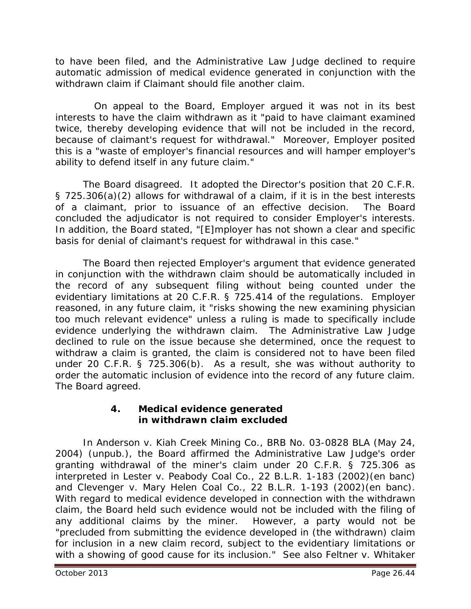to have been filed, and the Administrative Law Judge declined to require automatic admission of medical evidence generated in conjunction with the withdrawn claim if Claimant should file another claim.

On appeal to the Board, Employer argued it was not in its best interests to have the claim withdrawn as it "paid to have claimant examined twice, thereby developing evidence that will not be included in the record, because of claimant's request for withdrawal." Moreover, Employer posited this is a "waste of employer's financial resources and will hamper employer's ability to defend itself in any future claim."

The Board disagreed. It adopted the Director's position that 20 C.F.R. § 725.306(a)(2) allows for withdrawal of a claim, if it is in the best interests of a claimant, prior to issuance of an effective decision. The Board concluded the adjudicator is not required to consider Employer's interests. In addition, the Board stated, "[E]mployer has not shown a clear and specific basis for denial of claimant's request for withdrawal in this case."

The Board then rejected Employer's argument that evidence generated in conjunction with the withdrawn claim should be automatically included in the record of any subsequent filing without being counted under the evidentiary limitations at 20 C.F.R. § 725.414 of the regulations. Employer reasoned, in any future claim, it "risks showing the new examining physician too much relevant evidence" unless a ruling is made to specifically include evidence underlying the withdrawn claim. The Administrative Law Judge declined to rule on the issue because she determined, once the request to withdraw a claim is granted, the claim is considered not to have been filed under 20 C.F.R. § 725.306(b). As a result, she was without authority to order the automatic inclusion of evidence into the record of any future claim. The Board agreed.

## **4. Medical evidence generated in withdrawn claim excluded**

In *Anderson v. Kiah Creek Mining Co.*, BRB No. 03-0828 BLA (May 24, 2004) (unpub.), the Board affirmed the Administrative Law Judge's order granting withdrawal of the miner's claim under 20 C.F.R. § 725.306 as interpreted in *Lester v. Peabody Coal Co.*, 22 B.L.R. 1-183 (2002)(en banc) and *Clevenger v. Mary Helen Coal Co.*, 22 B.L.R. 1-193 (2002)(en banc). With regard to medical evidence developed in connection with the withdrawn claim, the Board held such evidence would not be included with the filing of any additional claims by the miner. However, a party would not be "precluded from submitting the evidence developed in (the withdrawn) claim for inclusion in a new claim record, subject to the evidentiary limitations or with a showing of good cause for its inclusion." *See also Feltner v. Whitaker*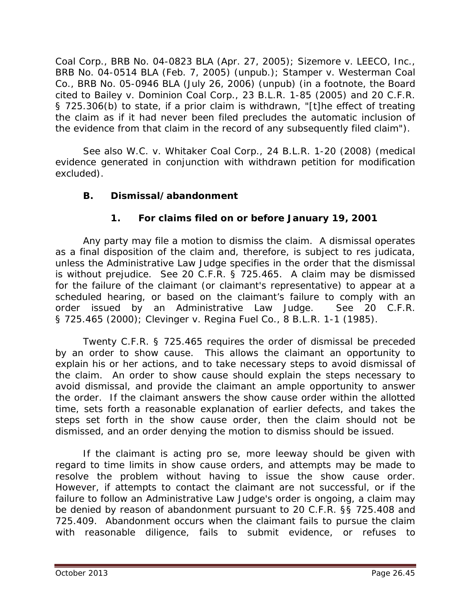*Coal Corp.*, BRB No. 04-0823 BLA (Apr. 27, 2005); *Sizemore v. LEECO, Inc.*, BRB No. 04-0514 BLA (Feb. 7, 2005) (unpub.); *Stamper v. Westerman Coal Co.*, BRB No. 05-0946 BLA (July 26, 2006) (unpub) (in a footnote, the Board cited to *Bailey v. Dominion Coal Corp*., 23 B.L.R. 1-85 (2005) and 20 C.F.R. § 725.306(b) to state, if a prior claim is withdrawn, "[t]he effect of treating the claim as if it had never been filed precludes the automatic inclusion of the evidence from that claim in the record of any subsequently filed claim").

*See also W.C. v. Whitaker Coal Corp.*, 24 B.L.R. 1-20 (2008) (medical evidence generated in conjunction with withdrawn petition for modification excluded).

## **B. Dismissal/abandonment**

# **1. For claims filed on or before January 19, 2001**

Any party may file a motion to dismiss the claim. A dismissal operates as a final disposition of the claim and, therefore, is subject to *res judicata,* unless the Administrative Law Judge specifies in the order that the dismissal is without prejudice. *See* 20 C.F.R. § 725.465. A claim may be dismissed for the failure of the claimant (or claimant's representative) to appear at a scheduled hearing, or based on the claimant's failure to comply with an order issued by an Administrative Law Judge. *See* 20 C.F.R. § 725.465 (2000); *Clevinger v. Regina Fuel Co.*, 8 B.L.R. 1-1 (1985).

Twenty C.F.R. § 725.465 requires the order of dismissal be preceded by an order to show cause. This allows the claimant an opportunity to explain his or her actions, and to take necessary steps to avoid dismissal of the claim. An order to show cause should explain the steps necessary to avoid dismissal, and provide the claimant an ample opportunity to answer the order. If the claimant answers the show cause order within the allotted time, sets forth a reasonable explanation of earlier defects, and takes the steps set forth in the show cause order, then the claim should not be dismissed, and an order denying the motion to dismiss should be issued.

If the claimant is acting *pro se*, more leeway should be given with regard to time limits in show cause orders, and attempts may be made to resolve the problem without having to issue the show cause order. However, if attempts to contact the claimant are not successful, or if the failure to follow an Administrative Law Judge's order is ongoing, a claim may be denied by reason of abandonment pursuant to 20 C.F.R. §§ 725.408 and 725.409. Abandonment occurs when the claimant fails to pursue the claim with reasonable diligence, fails to submit evidence, or refuses to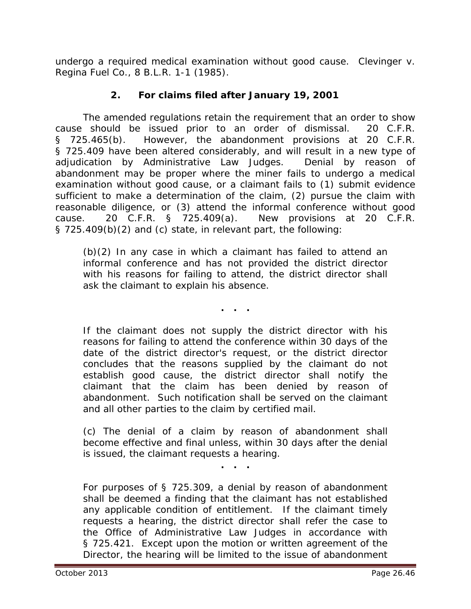undergo a required medical examination without good cause. *Clevinger v. Regina Fuel Co.*, 8 B.L.R. 1-1 (1985).

# **2. For claims filed after January 19, 2001**

The amended regulations retain the requirement that an order to show cause should be issued prior to an order of dismissal. 20 C.F.R. § 725.465(b). However, the abandonment provisions at 20 C.F.R. § 725.409 have been altered considerably, and will result in a new type of adjudication by Administrative Law Judges. Denial by reason of abandonment may be proper where the miner fails to undergo a medical examination without good cause, or a claimant fails to (1) submit evidence sufficient to make a determination of the claim, (2) pursue the claim with reasonable diligence, or (3) attend the informal conference without good cause. 20 C.F.R. § 725.409(a). New provisions at 20 C.F.R. § 725.409(b)(2) and (c) state, in relevant part, the following:

(b)(2) In any case in which a claimant has failed to attend an informal conference and has not provided the district director with his reasons for failing to attend, the district director shall ask the claimant to explain his absence.

**. . .**

If the claimant does not supply the district director with his reasons for failing to attend the conference within 30 days of the date of the district director's request, or the district director concludes that the reasons supplied by the claimant do not establish good cause, the district director shall notify the claimant that the claim has been denied by reason of abandonment. Such notification shall be served on the claimant and all other parties to the claim by certified mail.

(c) The denial of a claim by reason of abandonment shall become effective and final unless, within 30 days after the denial is issued, the claimant requests a hearing.

**. . .**

For purposes of § 725.309, a denial by reason of abandonment shall be deemed a finding that the claimant has not established any applicable condition of entitlement. If the claimant timely requests a hearing, the district director shall refer the case to the Office of Administrative Law Judges in accordance with § 725.421. Except upon the motion or written agreement of the Director, the hearing will be limited to the issue of abandonment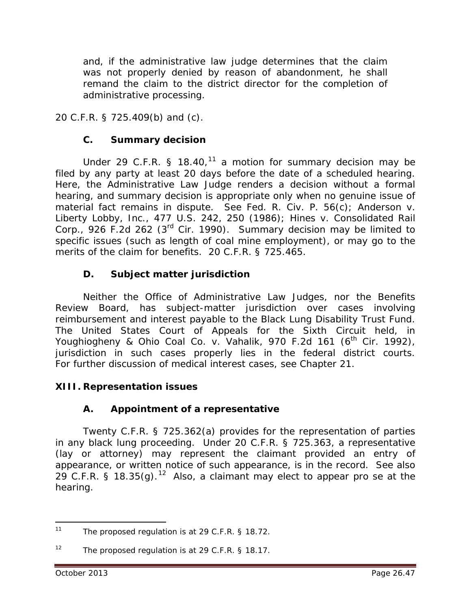and, if the administrative law judge determines that the claim was not properly denied by reason of abandonment, he shall remand the claim to the district director for the completion of administrative processing.

20 C.F.R. § 725.409(b) and (c).

## **C. Summary decision**

Under 29 C.F.R. § 18.40,<sup>[11](#page-46-0)</sup> a motion for summary decision may be filed by any party at least 20 days before the date of a scheduled hearing. Here, the Administrative Law Judge renders a decision without a formal hearing, and summary decision is appropriate only when no genuine issue of material fact remains in dispute. *See* Fed. R. Civ. P. 56(c); *Anderson v. Liberty Lobby, Inc.*, 477 U.S. 242, 250 (1986); *Hines v. Consolidated Rail Corp.*, 926 F.2d 262 (3rd Cir. 1990). Summary decision may be limited to specific issues (such as length of coal mine employment), or may go to the merits of the claim for benefits. 20 C.F.R. § 725.465.

# **D. Subject matter jurisdiction**

Neither the Office of Administrative Law Judges, nor the Benefits Review Board, has subject-matter jurisdiction over cases involving reimbursement and interest payable to the Black Lung Disability Trust Fund. The United States Court of Appeals for the Sixth Circuit held, in *Youghiogheny & Ohio Coal Co. v. Vahalik*, 970 F.2d 161 (6<sup>th</sup> Cir. 1992), jurisdiction in such cases properly lies in the federal district courts. For further discussion of medical interest cases, *see* Chapter 21*.*

# **XIII. Representation issues**

# **A. Appointment of a representative**

Twenty C.F.R. § 725.362(a) provides for the representation of parties in any black lung proceeding. Under 20 C.F.R. § 725.363, a representative (lay or attorney) may represent the claimant provided an entry of appearance, or written notice of such appearance, is in the record. *See also*  29 C.F.R. § 18.35(g). [12](#page-46-1) Also, a claimant may elect to appear *pro se* at the hearing.

<span id="page-46-0"></span>The proposed regulation is at 29 C.F.R. § 18.72.  $11$ 

<span id="page-46-1"></span><sup>&</sup>lt;sup>12</sup> The proposed regulation is at 29 C.F.R. § 18.17.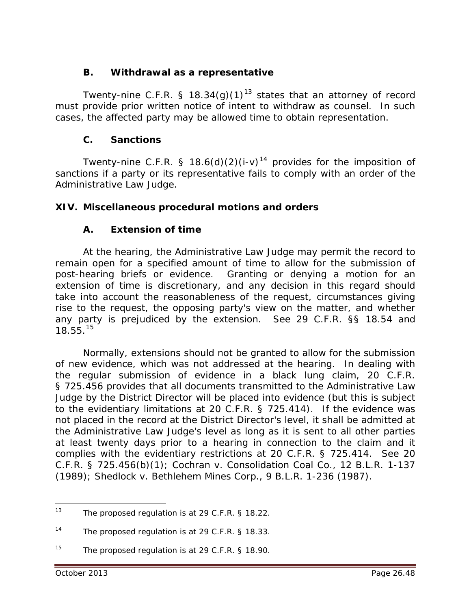## **B. Withdrawal as a representative**

Twenty-nine C.F.R. § 18.34(g)(1)<sup>[13](#page-47-0)</sup> states that an attorney of record must provide prior written notice of intent to withdraw as counsel. In such cases, the affected party may be allowed time to obtain representation.

## **C. Sanctions**

Twenty-nine C.F.R. § 18.6(d)(2)(i-v)<sup>[14](#page-47-1)</sup> provides for the imposition of sanctions if a party or its representative fails to comply with an order of the Administrative Law Judge.

## **XIV. Miscellaneous procedural motions and orders**

## **A. Extension of time**

At the hearing, the Administrative Law Judge may permit the record to remain open for a specified amount of time to allow for the submission of post-hearing briefs or evidence. Granting or denying a motion for an extension of time is discretionary, and any decision in this regard should take into account the reasonableness of the request, circumstances giving rise to the request, the opposing party's view on the matter, and whether any party is prejudiced by the extension. *See* 29 C.F.R. §§ 18.54 and 18.55. [15](#page-47-2)

Normally, extensions should not be granted to allow for the submission of new evidence, which was not addressed at the hearing. In dealing with the regular submission of evidence in a black lung claim, 20 C.F.R. § 725.456 provides that all documents transmitted to the Administrative Law Judge by the District Director will be placed into evidence (but this is subject to the evidentiary limitations at 20 C.F.R. § 725.414). If the evidence was not placed in the record at the District Director's level, it shall be admitted at the Administrative Law Judge's level as long as it is sent to all other parties at least twenty days prior to a hearing in connection to the claim and it complies with the evidentiary restrictions at 20 C.F.R. § 725.414. *See* 20 C.F.R. § 725.456(b)(1); *Cochran v. Consolidation Coal Co.*, 12 B.L.R. 1-137 (1989); *Shedlock v. Bethlehem Mines Corp*., 9 B.L.R. 1-236 (1987).

<span id="page-47-0"></span>The proposed regulation is at 29 C.F.R. § 18.22.  $13$ 

<span id="page-47-1"></span><sup>14</sup> The proposed regulation is at 29 C.F.R. § 18.33.

<span id="page-47-2"></span><sup>&</sup>lt;sup>15</sup> The proposed regulation is at 29 C.F.R. § 18.90.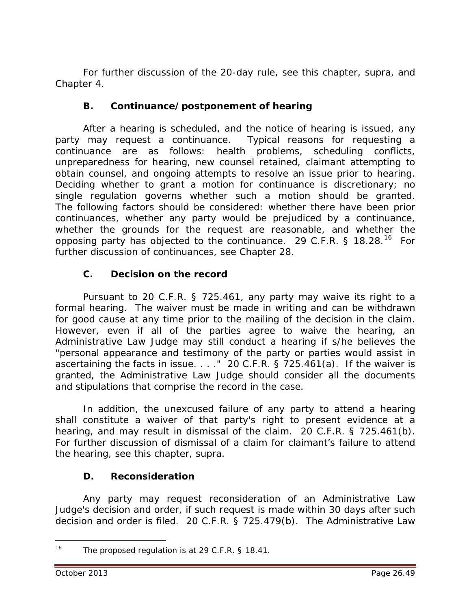For further discussion of the 20-day rule, *see* this chapter, *supra*, and Chapter 4.

## **B. Continuance/postponement of hearing**

After a hearing is scheduled, and the notice of hearing is issued, any party may request a continuance. Typical reasons for requesting a continuance are as follows: health problems, scheduling conflicts, unpreparedness for hearing, new counsel retained, claimant attempting to obtain counsel, and ongoing attempts to resolve an issue prior to hearing. Deciding whether to grant a motion for continuance is discretionary; no single regulation governs whether such a motion should be granted. The following factors should be considered: whether there have been prior continuances, whether any party would be prejudiced by a continuance, whether the grounds for the request are reasonable, and whether the opposing party has objected to the continuance. 29 C.F.R.  $\frac{1}{5}$  18.28.<sup>16</sup> For further discussion of continuances, *see* Chapter 28.

## **C. Decision on the record**

Pursuant to 20 C.F.R. § 725.461, any party may waive its right to a formal hearing. The waiver must be made in writing and can be withdrawn for good cause at any time prior to the mailing of the decision in the claim. However, even if all of the parties agree to waive the hearing, an Administrative Law Judge may still conduct a hearing if s/he believes the "personal appearance and testimony of the party or parties would assist in ascertaining the facts in issue. . . ." 20 C.F.R. § 725.461(a). If the waiver is granted, the Administrative Law Judge should consider all the documents and stipulations that comprise the record in the case.

In addition, the unexcused failure of any party to attend a hearing shall constitute a waiver of that party's right to present evidence at a hearing, and may result in dismissal of the claim. 20 C.F.R. § 725.461(b). For further discussion of dismissal of a claim for claimant's failure to attend the hearing, *see* this chapter, *supra.*

## **D. Reconsideration**

Any party may request reconsideration of an Administrative Law Judge's decision and order, if such request is made within 30 days after such decision and order is filed. 20 C.F.R. § 725.479(b). The Administrative Law

<span id="page-48-0"></span><sup>16</sup> The proposed regulation is at 29 C.F.R. § 18.41.  $\overline{a}$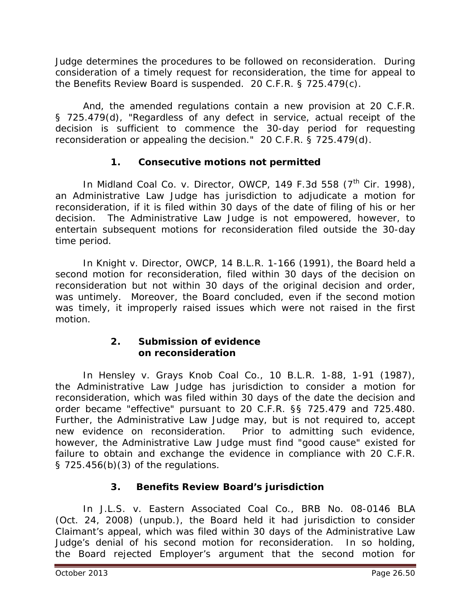Judge determines the procedures to be followed on reconsideration. During consideration of a timely request for reconsideration, the time for appeal to the Benefits Review Board is suspended. 20 C.F.R. § 725.479(c).

And, the amended regulations contain a new provision at 20 C.F.R. § 725.479(d), "Regardless of any defect in service, actual receipt of the decision is sufficient to commence the 30-day period for requesting reconsideration or appealing the decision." 20 C.F.R. § 725.479(d).

# **1. Consecutive motions not permitted**

In *Midland Coal Co. v. Director, OWCP*, 149 F.3d 558 (7<sup>th</sup> Cir. 1998), an Administrative Law Judge has jurisdiction to adjudicate a motion for reconsideration, if it is filed within 30 days of the date of filing of his or her decision. The Administrative Law Judge is not empowered, however, to entertain subsequent motions for reconsideration filed outside the 30-day time period.

In *Knight v. Director, OWCP*, 14 B.L.R. 1-166 (1991), the Board held a second motion for reconsideration, filed within 30 days of the decision on reconsideration but not within 30 days of the original decision and order, was untimely. Moreover, the Board concluded, even if the second motion was timely, it improperly raised issues which were not raised in the first motion.

## **2. Submission of evidence on reconsideration**

In *Hensley v. Grays Knob Coal Co.*, 10 B.L.R. 1-88, 1-91 (1987), the Administrative Law Judge has jurisdiction to consider a motion for reconsideration, which was filed within 30 days of the date the decision and order became "effective" pursuant to 20 C.F.R. §§ 725.479 and 725.480. Further, the Administrative Law Judge may, but is not required to, accept new evidence on reconsideration. Prior to admitting such evidence, however, the Administrative Law Judge must find "good cause" existed for failure to obtain and exchange the evidence in compliance with 20 C.F.R. § 725.456(b)(3) of the regulations.

# **3. Benefits Review Board's jurisdiction**

In *J.L.S. v. Eastern Associated Coal Co.*, BRB No. 08-0146 BLA (Oct. 24, 2008) (unpub.), the Board held it had jurisdiction to consider Claimant's appeal, which was filed within 30 days of the Administrative Law Judge's denial of his *second* motion for reconsideration. In so holding, the Board rejected Employer's argument that the second motion for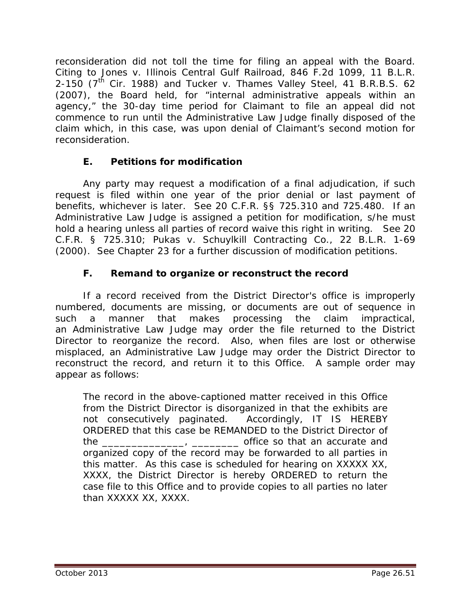reconsideration did not toll the time for filing an appeal with the Board. Citing to *Jones v. Illinois Central Gulf Railroad*, 846 F.2d 1099, 11 B.L.R. 2-150 (7<sup>th</sup> Cir. 1988) and *Tucker v. Thames Valley Steel*, 41 B.R.B.S. 62 (2007), the Board held, for "internal administrative appeals within an agency," the 30-day time period for Claimant to file an appeal did not commence to run until the Administrative Law Judge finally disposed of the claim which, in this case, was upon denial of Claimant's second motion for reconsideration.

## **E. Petitions for modification**

Any party may request a modification of a final adjudication, if such request is filed within one year of the prior denial or last payment of benefits, whichever is later. *See* 20 C.F.R. §§ 725.310 and 725.480. If an Administrative Law Judge is assigned a petition for modification, s/he must hold a hearing unless all parties of record waive this right in writing. *See* 20 C.F.R. § 725.310; *Pukas v. Schuylkill Contracting Co.*, 22 B.L.R. 1-69 (2000). *See* Chapter 23 for a further discussion of modification petitions.

## **F. Remand to organize or reconstruct the record**

If a record received from the District Director's office is improperly numbered, documents are missing, or documents are out of sequence in such a manner that makes processing the claim impractical, an Administrative Law Judge may order the file returned to the District Director to reorganize the record. Also, when files are lost or otherwise misplaced, an Administrative Law Judge may order the District Director to reconstruct the record, and return it to this Office. A sample order may appear as follows:

The record in the above-captioned matter received in this Office from the District Director is disorganized in that the exhibits are not consecutively paginated. Accordingly, IT IS HEREBY ORDERED that this case be REMANDED to the District Director of the  $\frac{1}{2}$   $\frac{1}{2}$   $\frac{1}{2}$   $\frac{1}{2}$  office so that an accurate and organized copy of the record may be forwarded to all parties in this matter. As this case is scheduled for hearing on XXXXX XX, XXXX, the District Director is hereby ORDERED to return the case file to this Office and to provide copies to all parties no later than XXXXX XX, XXXX.